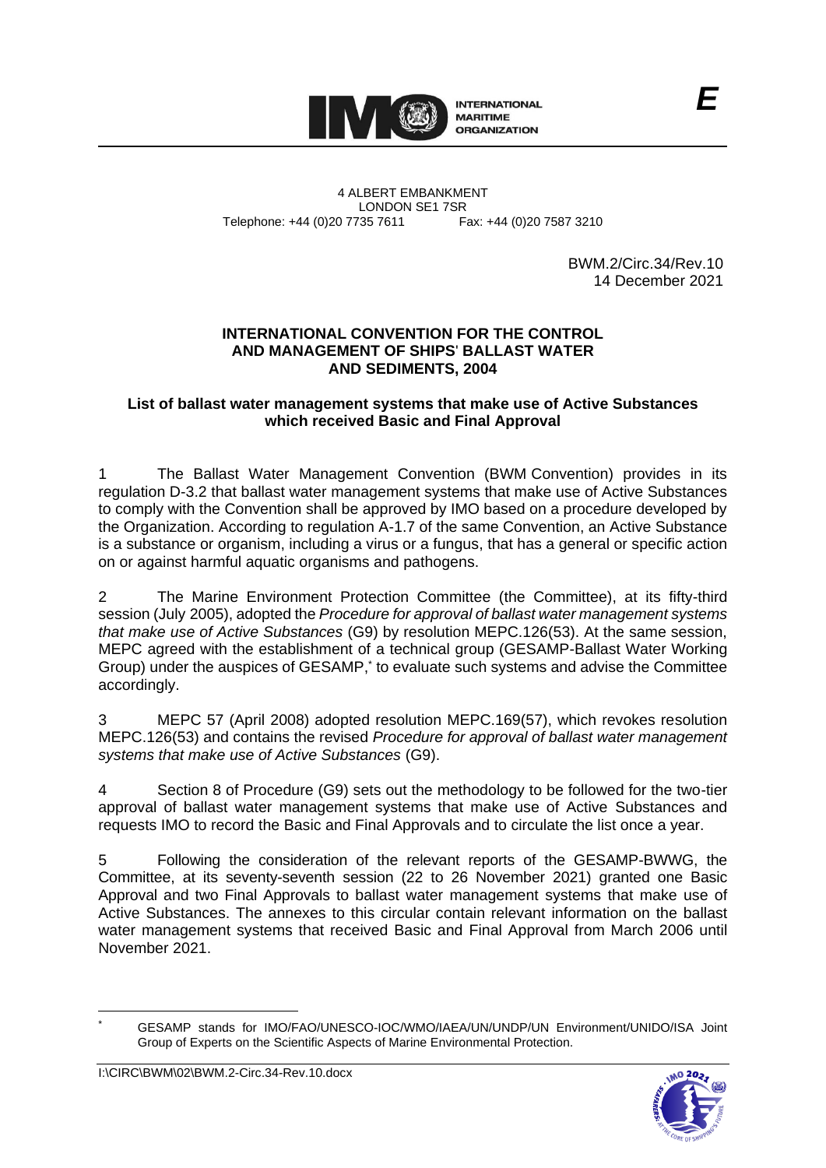

4 ALBERT EMBANKMENT Telephone: +44 (0)20 7735 7611

LONDON SE1 7SR<br>735 7611 Fax: +44 (0)20 7587 3210

BWM.2/Circ.34/Rev.10 14 December 2021

*E*

### **INTERNATIONAL CONVENTION FOR THE CONTROL AND MANAGEMENT OF SHIPS**' **BALLAST WATER AND SEDIMENTS, 2004**

### **List of ballast water management systems that make use of Active Substances which received Basic and Final Approval**

1 The Ballast Water Management Convention (BWM Convention) provides in its regulation D-3.2 that ballast water management systems that make use of Active Substances to comply with the Convention shall be approved by IMO based on a procedure developed by the Organization. According to regulation A-1.7 of the same Convention, an Active Substance is a substance or organism, including a virus or a fungus, that has a general or specific action on or against harmful aquatic organisms and pathogens.

2 The Marine Environment Protection Committee (the Committee), at its fifty-third session (July 2005), adopted the *Procedure for approval of ballast water management systems that make use of Active Substances* (G9) by resolution MEPC.126(53). At the same session, MEPC agreed with the establishment of a technical group (GESAMP-Ballast Water Working Group) under the auspices of GESAMP, \* to evaluate such systems and advise the Committee accordingly.

3 MEPC 57 (April 2008) adopted resolution MEPC.169(57), which revokes resolution MEPC.126(53) and contains the revised *Procedure for approval of ballast water management systems that make use of Active Substances* (G9).

4 Section 8 of Procedure (G9) sets out the methodology to be followed for the two-tier approval of ballast water management systems that make use of Active Substances and requests IMO to record the Basic and Final Approvals and to circulate the list once a year.

5 Following the consideration of the relevant reports of the GESAMP-BWWG, the Committee, at its seventy-seventh session (22 to 26 November 2021) granted one Basic Approval and two Final Approvals to ballast water management systems that make use of Active Substances. The annexes to this circular contain relevant information on the ballast water management systems that received Basic and Final Approval from March 2006 until November 2021.

<sup>\*</sup> GESAMP stands for IMO/FAO/UNESCO-IOC/WMO/IAEA/UN/UNDP/UN Environment/UNIDO/ISA Joint Group of Experts on the Scientific Aspects of Marine Environmental Protection.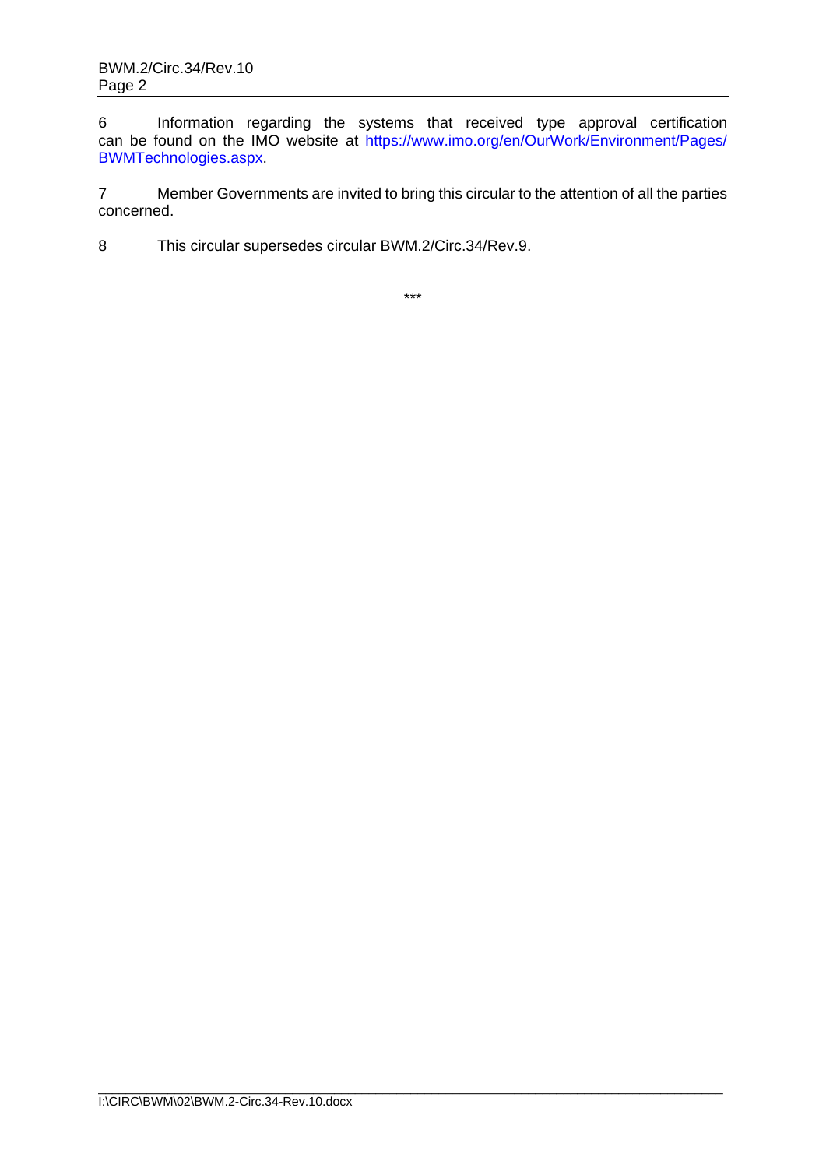6 Information regarding the systems that received type approval certification can be found on the IMO website at [https://www.imo.org/en/OurWork/Environment/Pages/](https://www.imo.org/en/OurWork/Environment/Pages/BWMTechnologies.aspx) [BWMTechnologies.aspx.](https://www.imo.org/en/OurWork/Environment/Pages/BWMTechnologies.aspx)

7 Member Governments are invited to bring this circular to the attention of all the parties concerned.

8 This circular supersedes circular BWM.2/Circ.34/Rev.9.

\*\*\*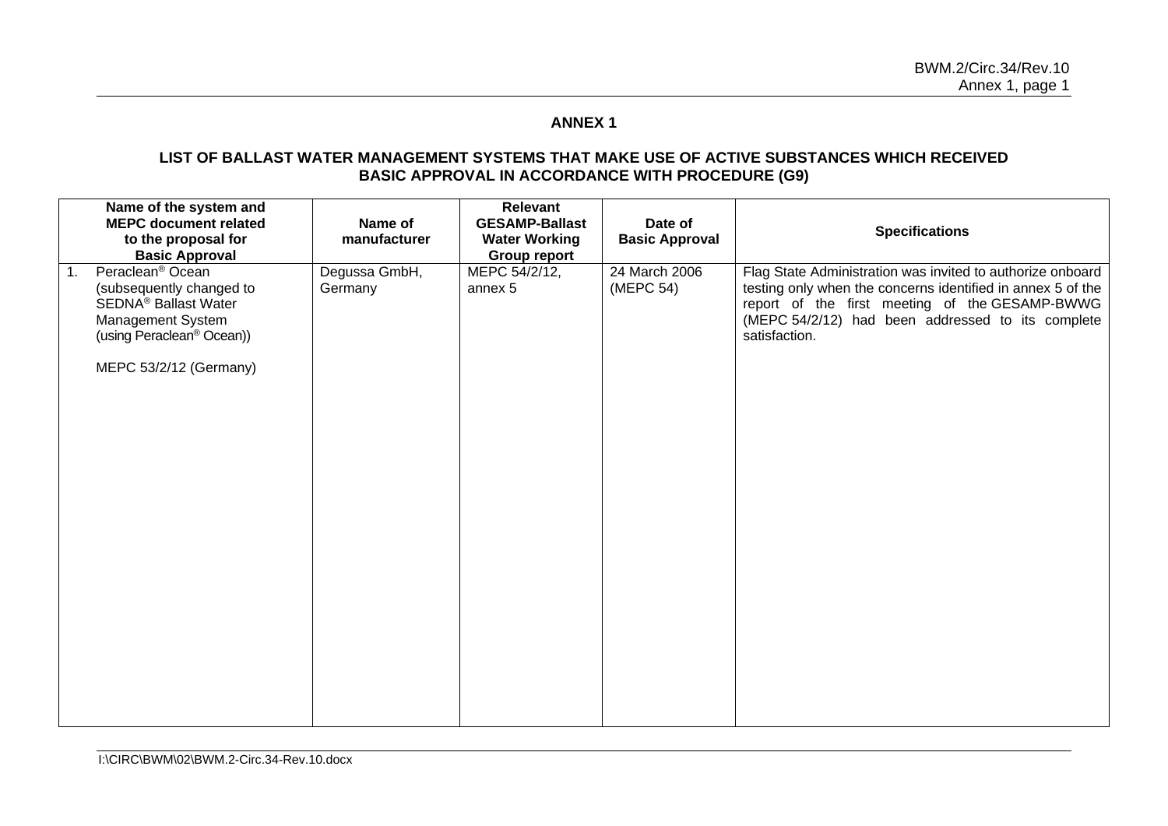# **ANNEX 1**

### **LIST OF BALLAST WATER MANAGEMENT SYSTEMS THAT MAKE USE OF ACTIVE SUBSTANCES WHICH RECEIVED BASIC APPROVAL IN ACCORDANCE WITH PROCEDURE (G9)**

| Name of the system and<br><b>MEPC document related</b><br>to the proposal for<br><b>Basic Approval</b>                                                                                           | Name of<br>manufacturer  | Relevant<br><b>GESAMP-Ballast</b><br><b>Water Working</b><br><b>Group report</b> | Date of<br><b>Basic Approval</b> | <b>Specifications</b>                                                                                                                                                                                                                             |
|--------------------------------------------------------------------------------------------------------------------------------------------------------------------------------------------------|--------------------------|----------------------------------------------------------------------------------|----------------------------------|---------------------------------------------------------------------------------------------------------------------------------------------------------------------------------------------------------------------------------------------------|
| Peraclean <sup>®</sup> Ocean<br>1.<br>(subsequently changed to<br><b>SEDNA<sup>®</sup> Ballast Water</b><br>Management System<br>(using Peraclean <sup>®</sup> Ocean))<br>MEPC 53/2/12 (Germany) | Degussa GmbH,<br>Germany | MEPC 54/2/12,<br>annex 5                                                         | 24 March 2006<br>(MEPC 54)       | Flag State Administration was invited to authorize onboard<br>testing only when the concerns identified in annex 5 of the<br>report of the first meeting of the GESAMP-BWWG<br>(MEPC 54/2/12) had been addressed to its complete<br>satisfaction. |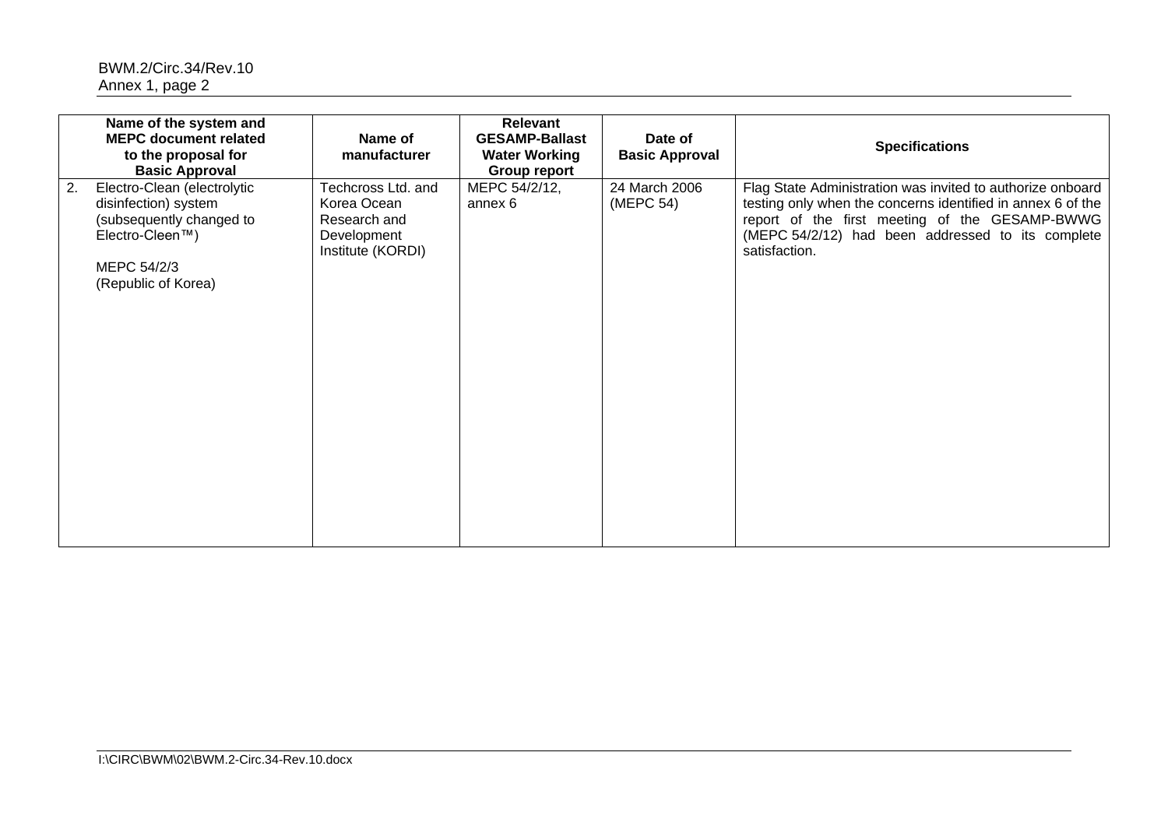|    | Name of the system and<br><b>MEPC document related</b><br>to the proposal for<br><b>Basic Approval</b>                                   | Name of<br>manufacturer                                                               | Relevant<br><b>GESAMP-Ballast</b><br><b>Water Working</b><br>Group report | Date of<br><b>Basic Approval</b> | <b>Specifications</b>                                                                                                                                                                                                                             |
|----|------------------------------------------------------------------------------------------------------------------------------------------|---------------------------------------------------------------------------------------|---------------------------------------------------------------------------|----------------------------------|---------------------------------------------------------------------------------------------------------------------------------------------------------------------------------------------------------------------------------------------------|
| 2. | Electro-Clean (electrolytic<br>disinfection) system<br>(subsequently changed to<br>Electro-Cleen™)<br>MEPC 54/2/3<br>(Republic of Korea) | Techcross Ltd. and<br>Korea Ocean<br>Research and<br>Development<br>Institute (KORDI) | MEPC 54/2/12,<br>annex 6                                                  | 24 March 2006<br>(MEPC 54)       | Flag State Administration was invited to authorize onboard<br>testing only when the concerns identified in annex 6 of the<br>report of the first meeting of the GESAMP-BWWG<br>(MEPC 54/2/12) had been addressed to its complete<br>satisfaction. |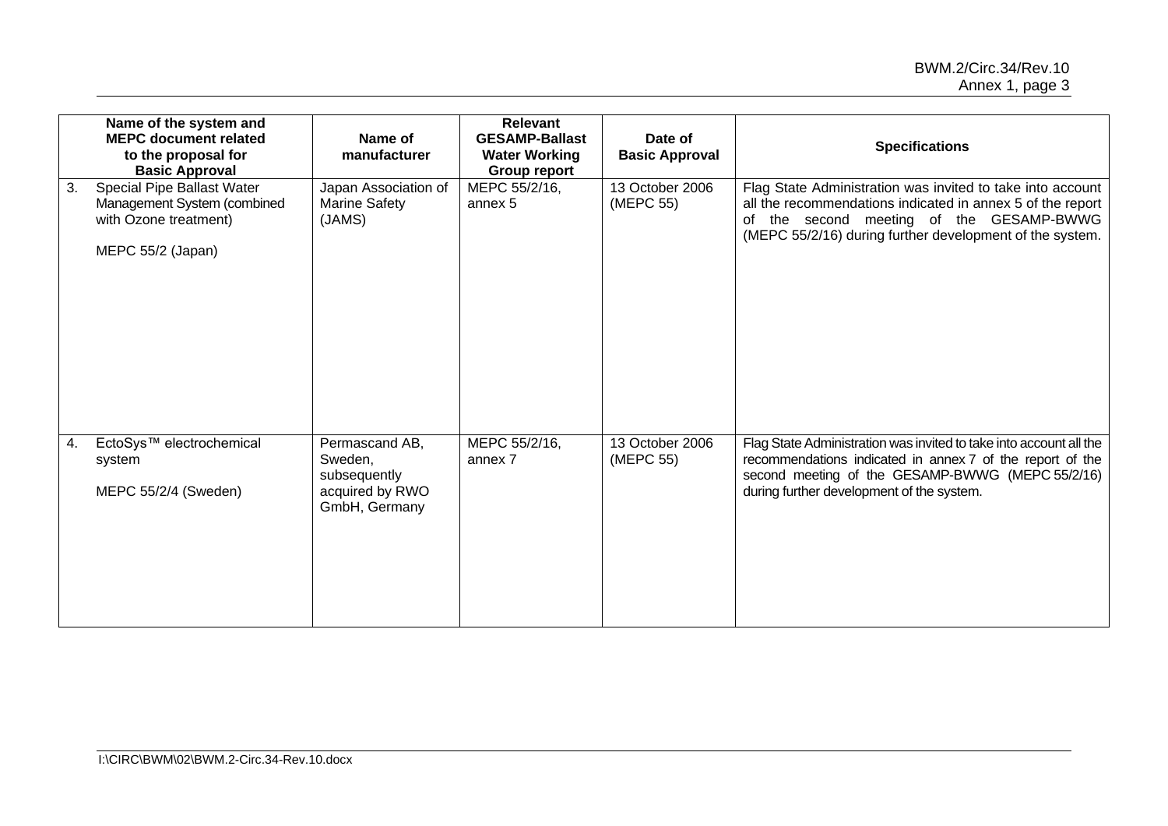|    | Name of the system and<br><b>MEPC document related</b><br>to the proposal for<br><b>Basic Approval</b>  | Name of<br>manufacturer                                                       | <b>Relevant</b><br><b>GESAMP-Ballast</b><br><b>Water Working</b><br><b>Group report</b> | Date of<br><b>Basic Approval</b> | <b>Specifications</b>                                                                                                                                                                                                            |
|----|---------------------------------------------------------------------------------------------------------|-------------------------------------------------------------------------------|-----------------------------------------------------------------------------------------|----------------------------------|----------------------------------------------------------------------------------------------------------------------------------------------------------------------------------------------------------------------------------|
| 3. | Special Pipe Ballast Water<br>Management System (combined<br>with Ozone treatment)<br>MEPC 55/2 (Japan) | Japan Association of<br><b>Marine Safety</b><br>(JAMS)                        | MEPC 55/2/16,<br>annex 5                                                                | 13 October 2006<br>(MEPC 55)     | Flag State Administration was invited to take into account<br>all the recommendations indicated in annex 5 of the report<br>of the second meeting of the GESAMP-BWWG<br>(MEPC 55/2/16) during further development of the system. |
| 4. | EctoSys™ electrochemical<br>system<br>MEPC 55/2/4 (Sweden)                                              | Permascand AB,<br>Sweden,<br>subsequently<br>acquired by RWO<br>GmbH, Germany | MEPC 55/2/16,<br>annex 7                                                                | 13 October 2006<br>(MEPC 55)     | Flag State Administration was invited to take into account all the<br>recommendations indicated in annex 7 of the report of the<br>second meeting of the GESAMP-BWWG (MEPC 55/2/16)<br>during further development of the system. |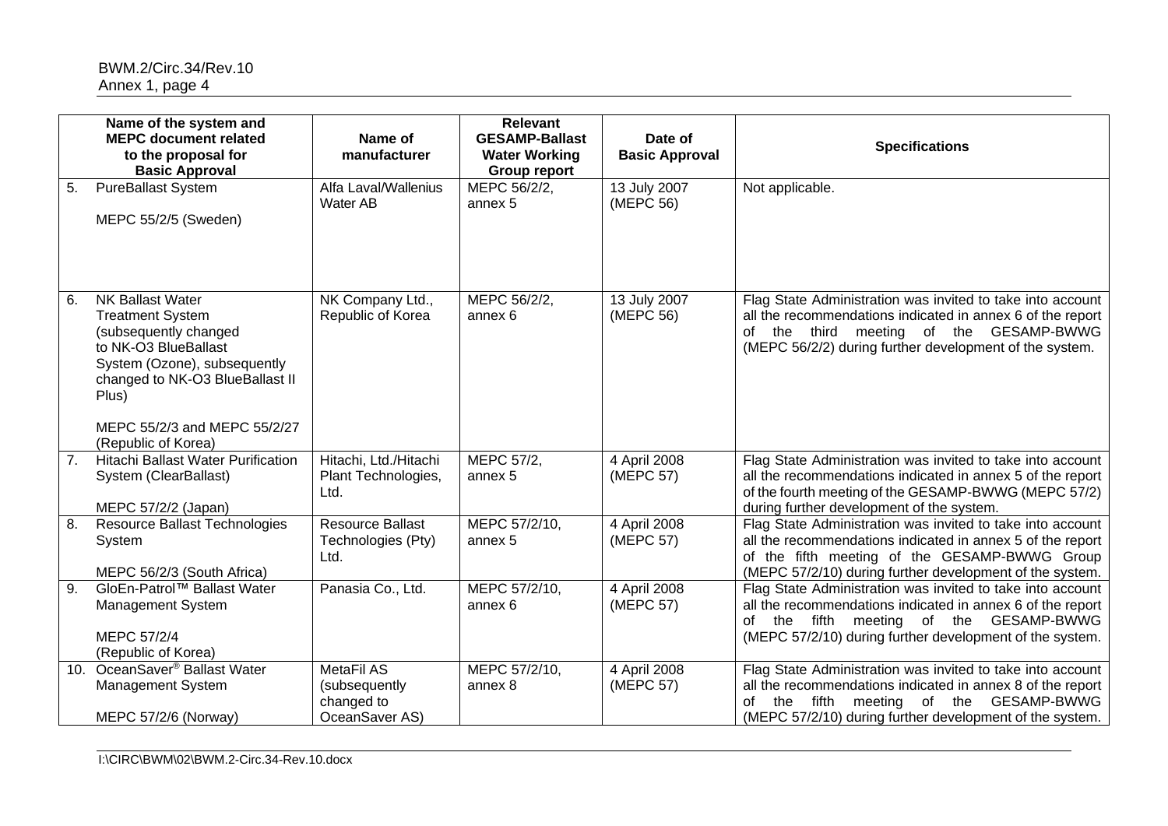|                  | Name of the system and                                                                                                                                                                                          |                                                                    | <b>Relevant</b>                                                      |                                  |                                                                                                                                                                                                                                          |
|------------------|-----------------------------------------------------------------------------------------------------------------------------------------------------------------------------------------------------------------|--------------------------------------------------------------------|----------------------------------------------------------------------|----------------------------------|------------------------------------------------------------------------------------------------------------------------------------------------------------------------------------------------------------------------------------------|
|                  | <b>MEPC document related</b><br>to the proposal for<br><b>Basic Approval</b>                                                                                                                                    | Name of<br>manufacturer                                            | <b>GESAMP-Ballast</b><br><b>Water Working</b><br><b>Group report</b> | Date of<br><b>Basic Approval</b> | <b>Specifications</b>                                                                                                                                                                                                                    |
| 5.               | <b>PureBallast System</b><br>MEPC 55/2/5 (Sweden)                                                                                                                                                               | Alfa Laval/Wallenius<br>Water AB                                   | MEPC 56/2/2,<br>annex 5                                              | 13 July 2007<br>(MEPC 56)        | Not applicable.                                                                                                                                                                                                                          |
| 6.               | <b>NK Ballast Water</b><br><b>Treatment System</b><br>(subsequently changed<br>to NK-O3 BlueBallast<br>System (Ozone), subsequently<br>changed to NK-O3 BlueBallast II<br>Plus)<br>MEPC 55/2/3 and MEPC 55/2/27 | NK Company Ltd.,<br>Republic of Korea                              | MEPC 56/2/2,<br>annex 6                                              | 13 July 2007<br>(MEPC 56)        | Flag State Administration was invited to take into account<br>all the recommendations indicated in annex 6 of the report<br>of the third meeting of the GESAMP-BWWG<br>(MEPC 56/2/2) during further development of the system.           |
| 7.               | (Republic of Korea)<br>Hitachi Ballast Water Purification<br>System (ClearBallast)<br>MEPC 57/2/2 (Japan)                                                                                                       | Hitachi, Ltd./Hitachi<br>Plant Technologies,<br>Ltd.               | MEPC 57/2,<br>annex 5                                                | 4 April 2008<br>(MEPC 57)        | Flag State Administration was invited to take into account<br>all the recommendations indicated in annex 5 of the report<br>of the fourth meeting of the GESAMP-BWWG (MEPC 57/2)<br>during further development of the system.            |
| 8.               | <b>Resource Ballast Technologies</b><br>System<br>MEPC 56/2/3 (South Africa)                                                                                                                                    | <b>Resource Ballast</b><br>Technologies (Pty)<br>Ltd.              | MEPC 57/2/10,<br>annex <sub>5</sub>                                  | 4 April 2008<br>(MEPC 57)        | Flag State Administration was invited to take into account<br>all the recommendations indicated in annex 5 of the report<br>of the fifth meeting of the GESAMP-BWWG Group<br>(MEPC 57/2/10) during further development of the system.    |
| $\overline{9}$ . | GloEn-Patrol™ Ballast Water<br>Management System<br>MEPC 57/2/4<br>(Republic of Korea)                                                                                                                          | Panasia Co., Ltd.                                                  | MEPC 57/2/10,<br>annex 6                                             | 4 April 2008<br>(MEPC 57)        | Flag State Administration was invited to take into account<br>all the recommendations indicated in annex 6 of the report<br>of the fifth meeting of the GESAMP-BWWG<br>(MEPC 57/2/10) during further development of the system.          |
| 10.              | OceanSaver <sup>®</sup> Ballast Water<br>Management System<br>MEPC 57/2/6 (Norway)                                                                                                                              | <b>MetaFil AS</b><br>(subsequently<br>changed to<br>OceanSaver AS) | MEPC 57/2/10,<br>annex 8                                             | 4 April 2008<br>(MEPC 57)        | Flag State Administration was invited to take into account<br>all the recommendations indicated in annex 8 of the report<br>fifth<br>meeting of the GESAMP-BWWG<br>the<br>of<br>(MEPC 57/2/10) during further development of the system. |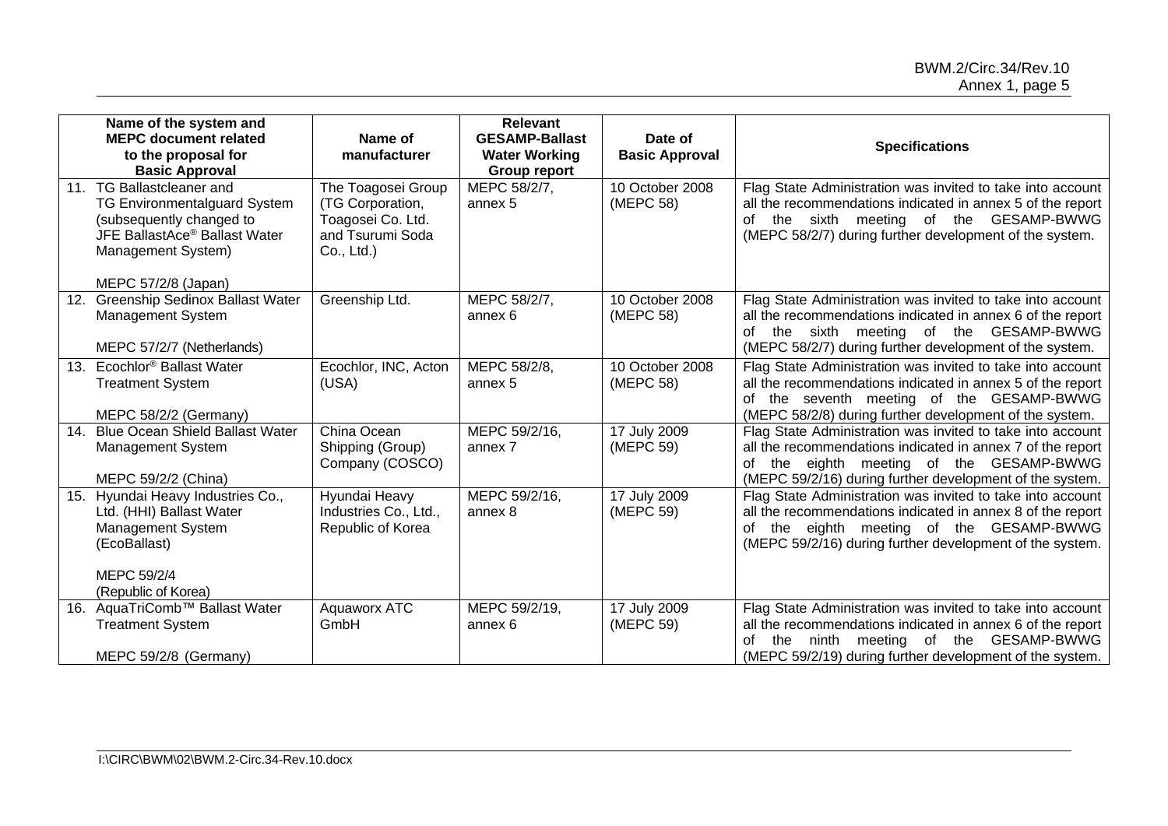|                 | Name of the system and<br><b>MEPC document related</b><br>to the proposal for<br><b>Basic Approval</b>                                                                        | Name of<br>manufacturer                                                                       | <b>Relevant</b><br><b>GESAMP-Ballast</b><br><b>Water Working</b><br><b>Group report</b> | Date of<br><b>Basic Approval</b> | <b>Specifications</b>                                                                                                                                                                                                                 |
|-----------------|-------------------------------------------------------------------------------------------------------------------------------------------------------------------------------|-----------------------------------------------------------------------------------------------|-----------------------------------------------------------------------------------------|----------------------------------|---------------------------------------------------------------------------------------------------------------------------------------------------------------------------------------------------------------------------------------|
| 11 <sub>1</sub> | <b>TG Ballastcleaner and</b><br><b>TG Environmentalguard System</b><br>(subsequently changed to<br>JFE BallastAce® Ballast Water<br>Management System)<br>MEPC 57/2/8 (Japan) | The Toagosei Group<br>(TG Corporation,<br>Toagosei Co. Ltd.<br>and Tsurumi Soda<br>Co., Ltd.) | MEPC 58/2/7,<br>annex 5                                                                 | 10 October 2008<br>(MEPC 58)     | Flag State Administration was invited to take into account<br>all the recommendations indicated in annex 5 of the report<br>the sixth meeting of the GESAMP-BWWG<br>of<br>(MEPC 58/2/7) during further development of the system.     |
| 12.             | <b>Greenship Sedinox Ballast Water</b><br>Management System<br>MEPC 57/2/7 (Netherlands)                                                                                      | Greenship Ltd.                                                                                | MEPC 58/2/7,<br>annex 6                                                                 | 10 October 2008<br>(MEPC 58)     | Flag State Administration was invited to take into account<br>all the recommendations indicated in annex 6 of the report<br>of the sixth meeting of the GESAMP-BWWG<br>(MEPC 58/2/7) during further development of the system.        |
| 13.             | Ecochlor <sup>®</sup> Ballast Water<br><b>Treatment System</b><br>MEPC 58/2/2 (Germany)                                                                                       | Ecochlor, INC, Acton<br>(USA)                                                                 | MEPC 58/2/8,<br>annex 5                                                                 | 10 October 2008<br>(MEPC 58)     | Flag State Administration was invited to take into account<br>all the recommendations indicated in annex 5 of the report<br>of the seventh meeting of the GESAMP-BWWG<br>(MEPC 58/2/8) during further development of the system.      |
| 14.             | <b>Blue Ocean Shield Ballast Water</b><br><b>Management System</b><br>MEPC 59/2/2 (China)                                                                                     | China Ocean<br>Shipping (Group)<br>Company (COSCO)                                            | MEPC 59/2/16,<br>annex 7                                                                | 17 July 2009<br>(MEPC 59)        | Flag State Administration was invited to take into account<br>all the recommendations indicated in annex 7 of the report<br>of the eighth meeting of the GESAMP-BWWG<br>(MEPC 59/2/16) during further development of the system.      |
| 15.             | Hyundai Heavy Industries Co.,<br>Ltd. (HHI) Ballast Water<br>Management System<br>(EcoBallast)<br>MEPC 59/2/4<br>(Republic of Korea)                                          | Hyundai Heavy<br>Industries Co., Ltd.,<br>Republic of Korea                                   | MEPC 59/2/16,<br>annex 8                                                                | 17 July 2009<br>(MEPC 59)        | Flag State Administration was invited to take into account<br>all the recommendations indicated in annex 8 of the report<br>eighth meeting of the GESAMP-BWWG<br>of the<br>(MEPC 59/2/16) during further development of the system.   |
| 16.             | AquaTriComb™ Ballast Water<br><b>Treatment System</b><br>MEPC 59/2/8 (Germany)                                                                                                | Aquaworx ATC<br>GmbH                                                                          | MEPC 59/2/19,<br>annex 6                                                                | 17 July 2009<br>(MEPC 59)        | Flag State Administration was invited to take into account<br>all the recommendations indicated in annex 6 of the report<br>ninth meeting of the GESAMP-BWWG<br>the<br>of<br>(MEPC 59/2/19) during further development of the system. |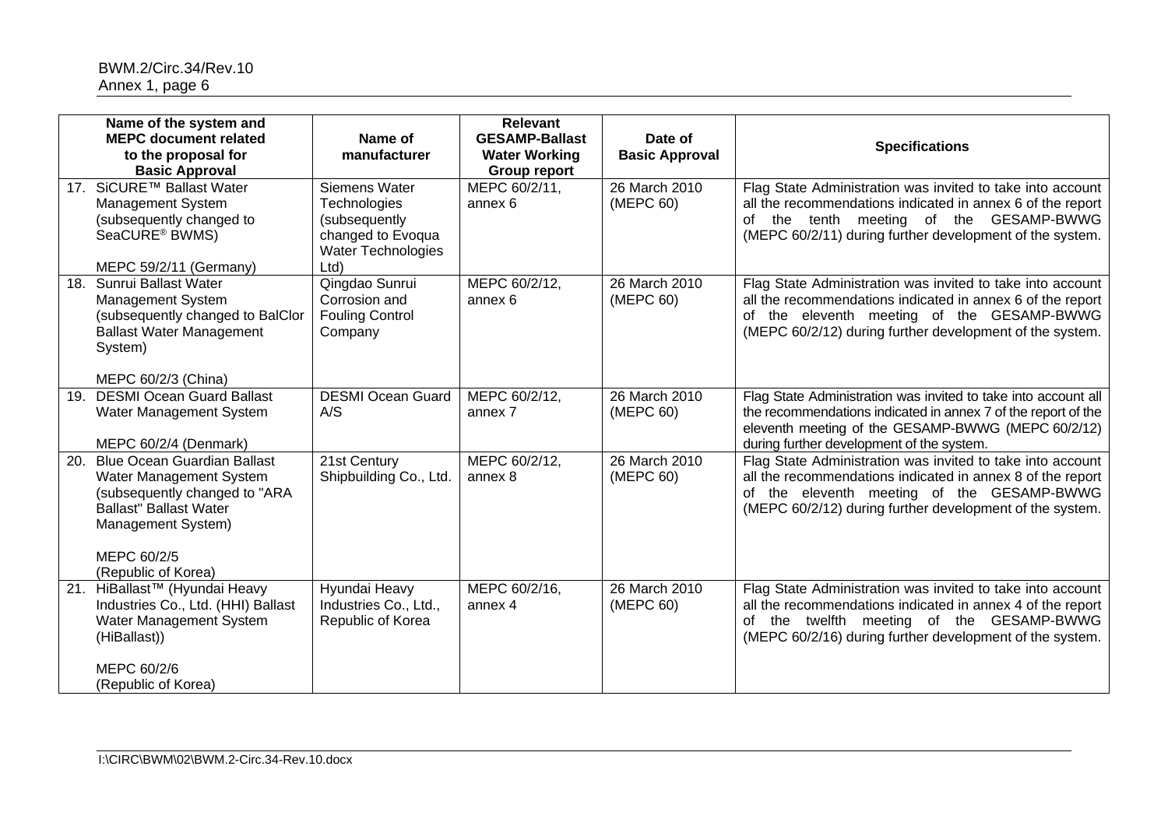|     | Name of the system and<br><b>MEPC document related</b><br>to the proposal for<br><b>Basic Approval</b>                                                                                      | Name of<br>manufacturer                                                                                         | <b>Relevant</b><br><b>GESAMP-Ballast</b><br><b>Water Working</b><br><b>Group report</b> | Date of<br><b>Basic Approval</b> | <b>Specifications</b>                                                                                                                                                                                                                |
|-----|---------------------------------------------------------------------------------------------------------------------------------------------------------------------------------------------|-----------------------------------------------------------------------------------------------------------------|-----------------------------------------------------------------------------------------|----------------------------------|--------------------------------------------------------------------------------------------------------------------------------------------------------------------------------------------------------------------------------------|
|     | 17. SiCURE™ Ballast Water<br>Management System<br>(subsequently changed to<br>SeaCURE® BWMS)<br>MEPC 59/2/11 (Germany)                                                                      | Siemens Water<br><b>Technologies</b><br>(subsequently<br>changed to Evoqua<br><b>Water Technologies</b><br>Ltd) | MEPC 60/2/11,<br>annex 6                                                                | 26 March 2010<br>(MEPC 60)       | Flag State Administration was invited to take into account<br>all the recommendations indicated in annex 6 of the report<br>of the tenth meeting of the GESAMP-BWWG<br>(MEPC 60/2/11) during further development of the system.      |
| 18. | Sunrui Ballast Water<br><b>Management System</b><br>(subsequently changed to BalClor<br><b>Ballast Water Management</b><br>System)<br>MEPC 60/2/3 (China)                                   | Qingdao Sunrui<br>Corrosion and<br><b>Fouling Control</b><br>Company                                            | MEPC 60/2/12,<br>annex <sub>6</sub>                                                     | 26 March 2010<br>(MEPC 60)       | Flag State Administration was invited to take into account<br>all the recommendations indicated in annex 6 of the report<br>of the eleventh meeting of the GESAMP-BWWG<br>(MEPC 60/2/12) during further development of the system.   |
| 19. | <b>DESMI Ocean Guard Ballast</b><br>Water Management System<br>MEPC 60/2/4 (Denmark)                                                                                                        | <b>DESMI Ocean Guard</b><br>A/S                                                                                 | MEPC 60/2/12,<br>annex 7                                                                | 26 March 2010<br>(MEPC 60)       | Flag State Administration was invited to take into account all<br>the recommendations indicated in annex 7 of the report of the<br>eleventh meeting of the GESAMP-BWWG (MEPC 60/2/12)<br>during further development of the system.   |
| 20. | <b>Blue Ocean Guardian Ballast</b><br>Water Management System<br>(subsequently changed to "ARA<br><b>Ballast" Ballast Water</b><br>Management System)<br>MEPC 60/2/5<br>(Republic of Korea) | 21st Century<br>Shipbuilding Co., Ltd.                                                                          | MEPC 60/2/12,<br>annex 8                                                                | 26 March 2010<br>(MEPC 60)       | Flag State Administration was invited to take into account<br>all the recommendations indicated in annex 8 of the report<br>of the eleventh meeting of the GESAMP-BWWG<br>(MEPC 60/2/12) during further development of the system.   |
| 21. | HiBallast <sup>™</sup> (Hyundai Heavy<br>Industries Co., Ltd. (HHI) Ballast<br>Water Management System<br>(HiBallast))<br>MEPC 60/2/6<br>(Republic of Korea)                                | Hyundai Heavy<br>Industries Co., Ltd.,<br>Republic of Korea                                                     | MEPC 60/2/16,<br>annex 4                                                                | 26 March 2010<br>(MEPC 60)       | Flag State Administration was invited to take into account<br>all the recommendations indicated in annex 4 of the report<br>the twelfth meeting of the GESAMP-BWWG<br>of<br>(MEPC 60/2/16) during further development of the system. |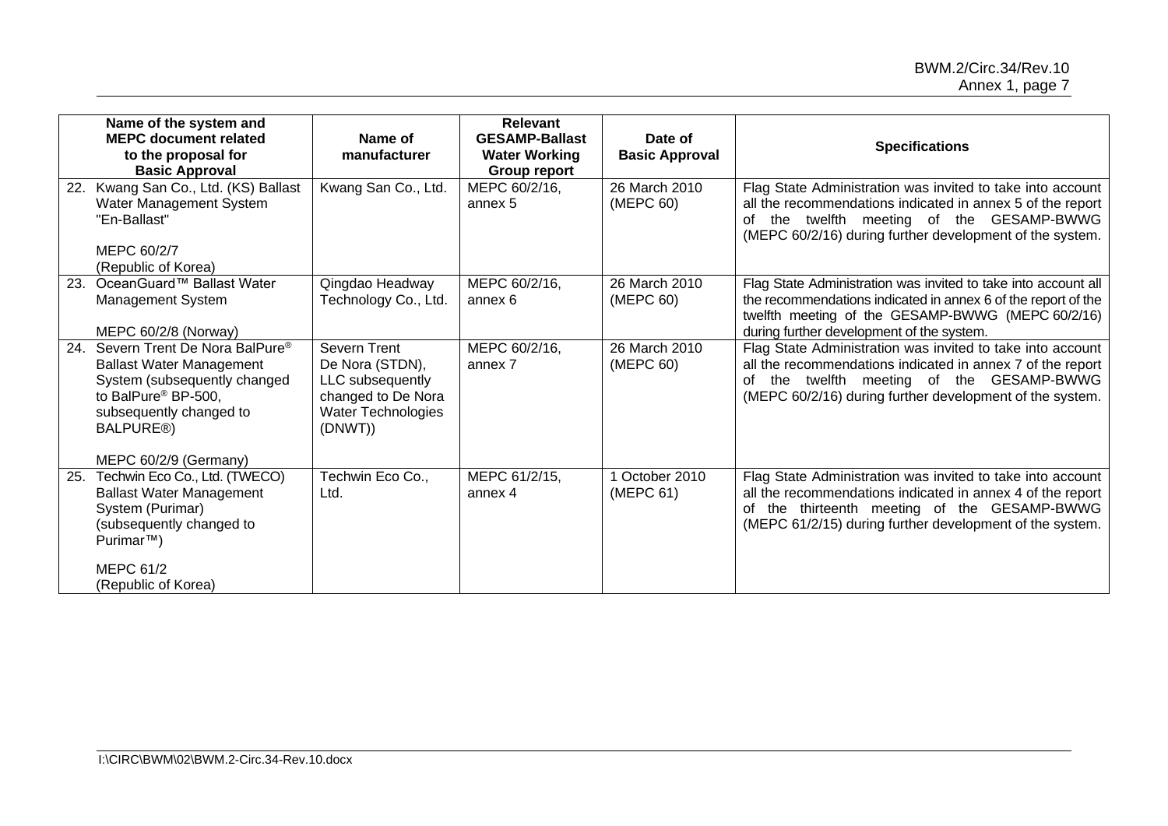|     | Name of the system and<br><b>MEPC document related</b><br>to the proposal for<br><b>Basic Approval</b>                                                                                                                        | Name of<br>manufacturer                                                                                                  | <b>Relevant</b><br><b>GESAMP-Ballast</b><br><b>Water Working</b><br><b>Group report</b> | Date of<br><b>Basic Approval</b> | <b>Specifications</b>                                                                                                                                                                                                                |
|-----|-------------------------------------------------------------------------------------------------------------------------------------------------------------------------------------------------------------------------------|--------------------------------------------------------------------------------------------------------------------------|-----------------------------------------------------------------------------------------|----------------------------------|--------------------------------------------------------------------------------------------------------------------------------------------------------------------------------------------------------------------------------------|
| 22. | Kwang San Co., Ltd. (KS) Ballast<br>Water Management System<br>"En-Ballast"<br>MEPC 60/2/7<br>(Republic of Korea)                                                                                                             | Kwang San Co., Ltd.                                                                                                      | MEPC 60/2/16,<br>annex 5                                                                | 26 March 2010<br>(MEPC 60)       | Flag State Administration was invited to take into account<br>all the recommendations indicated in annex 5 of the report<br>of the twelfth meeting of the GESAMP-BWWG<br>(MEPC 60/2/16) during further development of the system.    |
| 23. | OceanGuard™ Ballast Water<br>Management System<br>MEPC 60/2/8 (Norway)                                                                                                                                                        | Qingdao Headway<br>Technology Co., Ltd.                                                                                  | MEPC 60/2/16,<br>annex 6                                                                | 26 March 2010<br>(MEPC 60)       | Flag State Administration was invited to take into account all<br>the recommendations indicated in annex 6 of the report of the<br>twelfth meeting of the GESAMP-BWWG (MEPC 60/2/16)<br>during further development of the system.    |
| 24. | Severn Trent De Nora BalPure <sup>®</sup><br><b>Ballast Water Management</b><br>System (subsequently changed<br>to BalPure <sup>®</sup> BP-500,<br>subsequently changed to<br>BALPURE <sup>®</sup> )<br>MEPC 60/2/9 (Germany) | <b>Severn Trent</b><br>De Nora (STDN),<br>LLC subsequently<br>changed to De Nora<br><b>Water Technologies</b><br>(DNWT)) | MEPC 60/2/16,<br>annex 7                                                                | 26 March 2010<br>(MEPC 60)       | Flag State Administration was invited to take into account<br>all the recommendations indicated in annex 7 of the report<br>of the twelfth meeting of the GESAMP-BWWG<br>(MEPC 60/2/16) during further development of the system.    |
| 25. | Techwin Eco Co., Ltd. (TWECO)<br><b>Ballast Water Management</b><br>System (Purimar)<br>(subsequently changed to<br>Purimar <sup>™</sup> )<br>MEPC 61/2<br>(Republic of Korea)                                                | Techwin Eco Co.,<br>Ltd.                                                                                                 | MEPC 61/2/15,<br>annex 4                                                                | 1 October 2010<br>(MEPC 61)      | Flag State Administration was invited to take into account<br>all the recommendations indicated in annex 4 of the report<br>of the thirteenth meeting of the GESAMP-BWWG<br>(MEPC 61/2/15) during further development of the system. |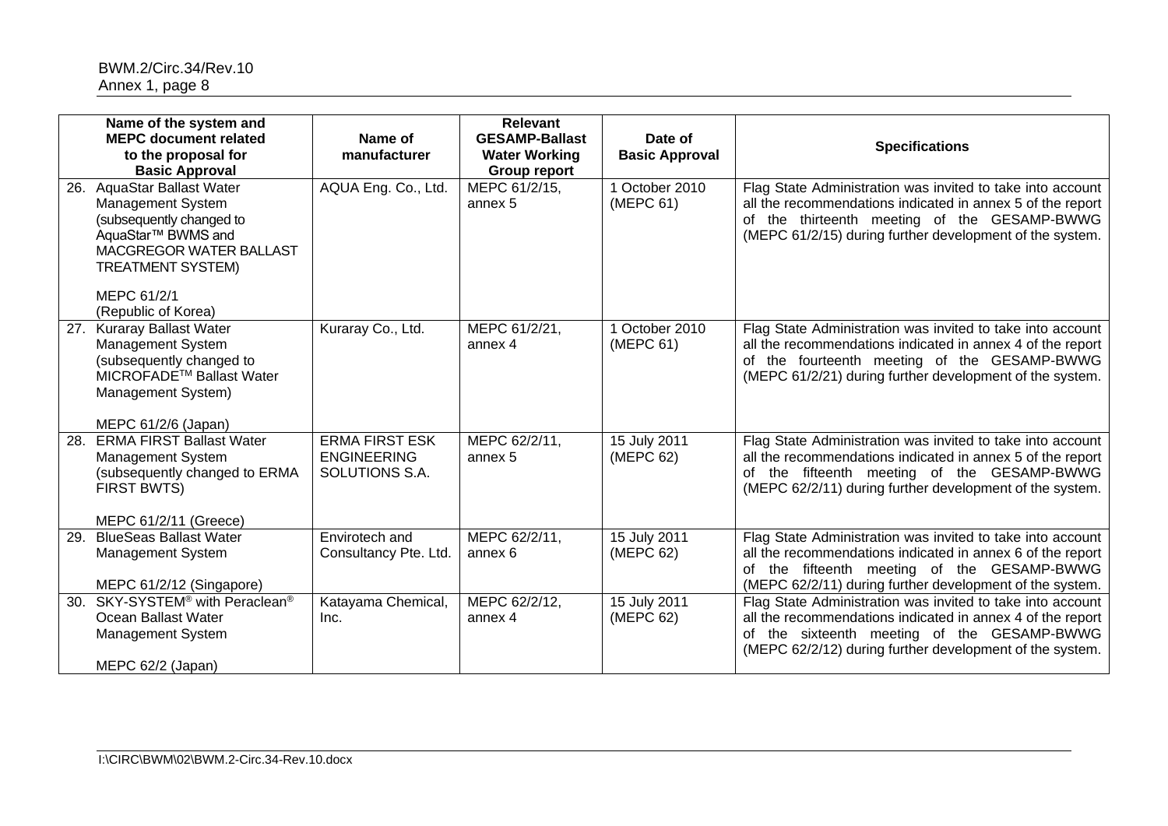|     | Name of the system and<br><b>MEPC document related</b><br>to the proposal for                                                                                                                           | Name of<br>manufacturer                                       | <b>Relevant</b><br><b>GESAMP-Ballast</b><br><b>Water Working</b> | Date of<br><b>Basic Approval</b> | <b>Specifications</b>                                                                                                                                                                                                                |
|-----|---------------------------------------------------------------------------------------------------------------------------------------------------------------------------------------------------------|---------------------------------------------------------------|------------------------------------------------------------------|----------------------------------|--------------------------------------------------------------------------------------------------------------------------------------------------------------------------------------------------------------------------------------|
| 26. | <b>Basic Approval</b><br><b>AquaStar Ballast Water</b><br><b>Management System</b><br>(subsequently changed to<br>AquaStar <sup>™</sup> BWMS and<br>MACGREGOR WATER BALLAST<br><b>TREATMENT SYSTEM)</b> | AQUA Eng. Co., Ltd.                                           | <b>Group report</b><br>MEPC 61/2/15,<br>annex 5                  | 1 October 2010<br>(MEPC 61)      | Flag State Administration was invited to take into account<br>all the recommendations indicated in annex 5 of the report<br>of the thirteenth meeting of the GESAMP-BWWG<br>(MEPC 61/2/15) during further development of the system. |
|     | MEPC 61/2/1<br>(Republic of Korea)                                                                                                                                                                      |                                                               |                                                                  |                                  |                                                                                                                                                                                                                                      |
| 27. | <b>Kuraray Ballast Water</b><br>Management System<br>(subsequently changed to<br>MICROFADE <sup>™</sup> Ballast Water<br>Management System)<br>MEPC 61/2/6 (Japan)                                      | Kuraray Co., Ltd.                                             | MEPC 61/2/21,<br>annex 4                                         | 1 October 2010<br>(MEPC 61)      | Flag State Administration was invited to take into account<br>all the recommendations indicated in annex 4 of the report<br>of the fourteenth meeting of the GESAMP-BWWG<br>(MEPC 61/2/21) during further development of the system. |
| 28. | <b>ERMA FIRST Ballast Water</b><br>Management System<br>(subsequently changed to ERMA<br>FIRST BWTS)<br>MEPC 61/2/11 (Greece)                                                                           | <b>ERMA FIRST ESK</b><br><b>ENGINEERING</b><br>SOLUTIONS S.A. | MEPC 62/2/11,<br>annex 5                                         | 15 July 2011<br>(MEPC 62)        | Flag State Administration was invited to take into account<br>all the recommendations indicated in annex 5 of the report<br>of the fifteenth meeting of the GESAMP-BWWG<br>(MEPC 62/2/11) during further development of the system.  |
| 29. | <b>BlueSeas Ballast Water</b><br><b>Management System</b><br>MEPC 61/2/12 (Singapore)                                                                                                                   | Envirotech and<br>Consultancy Pte. Ltd.                       | MEPC 62/2/11,<br>annex 6                                         | 15 July 2011<br>(MEPC 62)        | Flag State Administration was invited to take into account<br>all the recommendations indicated in annex 6 of the report<br>of the fifteenth meeting of the GESAMP-BWWG<br>(MEPC 62/2/11) during further development of the system.  |
| 30. | SKY-SYSTEM <sup>®</sup> with Peraclean <sup>®</sup><br>Ocean Ballast Water<br><b>Management System</b><br>MEPC 62/2 (Japan)                                                                             | Katayama Chemical,<br>Inc.                                    | MEPC 62/2/12,<br>annex 4                                         | 15 July 2011<br>(MEPC 62)        | Flag State Administration was invited to take into account<br>all the recommendations indicated in annex 4 of the report<br>of the sixteenth meeting of the GESAMP-BWWG<br>(MEPC 62/2/12) during further development of the system.  |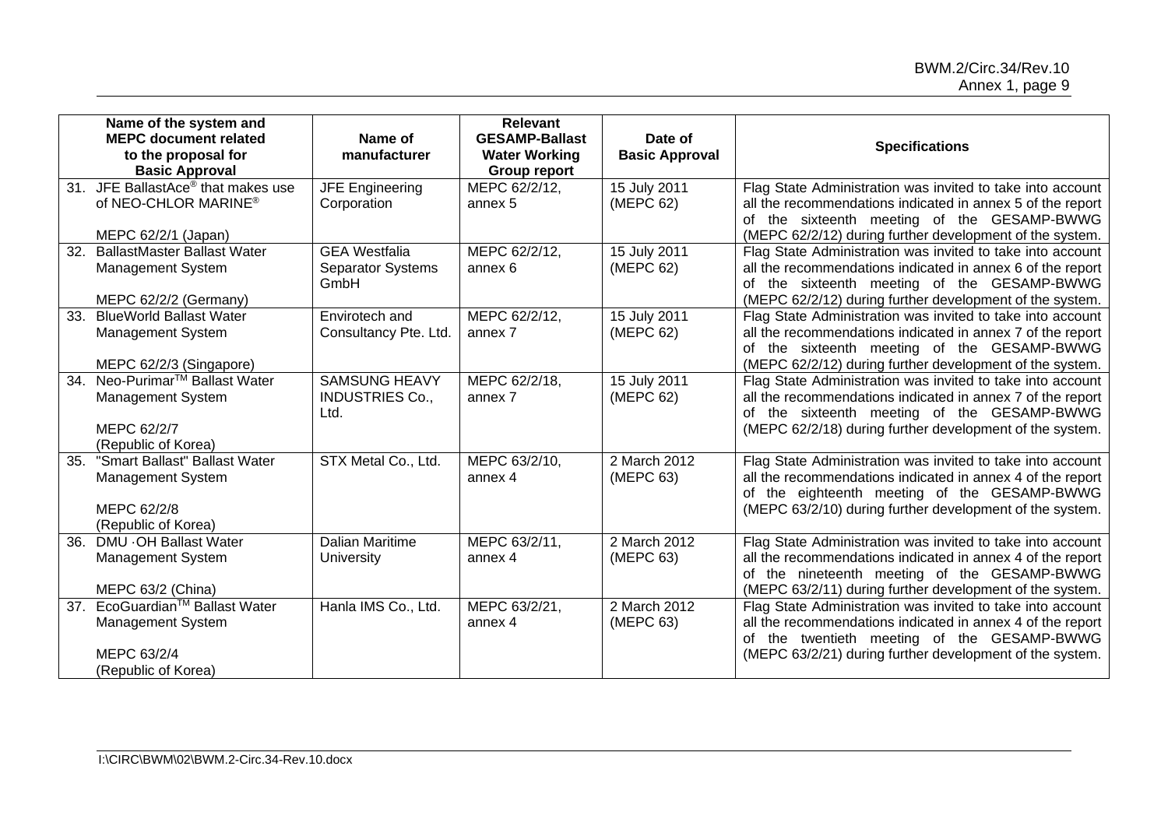|                 | Name of the system and<br><b>MEPC document related</b><br>to the proposal for<br><b>Basic Approval</b>   | Name of<br>manufacturer                                  | Relevant<br><b>GESAMP-Ballast</b><br><b>Water Working</b><br><b>Group report</b> | Date of<br><b>Basic Approval</b> | <b>Specifications</b>                                                                                                                                                                                                                |
|-----------------|----------------------------------------------------------------------------------------------------------|----------------------------------------------------------|----------------------------------------------------------------------------------|----------------------------------|--------------------------------------------------------------------------------------------------------------------------------------------------------------------------------------------------------------------------------------|
|                 | 31. JFE BallastAce <sup>®</sup> that makes use<br>of NEO-CHLOR MARINE®<br>MEPC 62/2/1 (Japan)            | <b>JFE Engineering</b><br>Corporation                    | MEPC 62/2/12,<br>annex 5                                                         | 15 July 2011<br>(MEPC 62)        | Flag State Administration was invited to take into account<br>all the recommendations indicated in annex 5 of the report<br>of the sixteenth meeting of the GESAMP-BWWG<br>(MEPC 62/2/12) during further development of the system.  |
| 32.             | <b>BallastMaster Ballast Water</b><br><b>Management System</b><br>MEPC 62/2/2 (Germany)                  | <b>GEA Westfalia</b><br><b>Separator Systems</b><br>GmbH | MEPC 62/2/12,<br>annex <sub>6</sub>                                              | 15 July 2011<br>(MEPC 62)        | Flag State Administration was invited to take into account<br>all the recommendations indicated in annex 6 of the report<br>of the sixteenth meeting of the GESAMP-BWWG<br>(MEPC 62/2/12) during further development of the system.  |
| 33.             | <b>BlueWorld Ballast Water</b><br><b>Management System</b><br>MEPC 62/2/3 (Singapore)                    | Envirotech and<br>Consultancy Pte. Ltd.                  | MEPC 62/2/12,<br>annex 7                                                         | 15 July 2011<br>(MEPC 62)        | Flag State Administration was invited to take into account<br>all the recommendations indicated in annex 7 of the report<br>of the sixteenth meeting of the GESAMP-BWWG<br>(MEPC 62/2/12) during further development of the system.  |
| 34.             | Neo-Purimar <sup>™</sup> Ballast Water<br><b>Management System</b><br>MEPC 62/2/7<br>(Republic of Korea) | <b>SAMSUNG HEAVY</b><br><b>INDUSTRIES Co.,</b><br>Ltd.   | MEPC 62/2/18,<br>annex 7                                                         | 15 July 2011<br>(MEPC 62)        | Flag State Administration was invited to take into account<br>all the recommendations indicated in annex 7 of the report<br>of the sixteenth meeting of the GESAMP-BWWG<br>(MEPC 62/2/18) during further development of the system.  |
| 35.             | "Smart Ballast" Ballast Water<br><b>Management System</b><br>MEPC 62/2/8<br>(Republic of Korea)          | STX Metal Co., Ltd.                                      | MEPC 63/2/10,<br>annex 4                                                         | 2 March 2012<br>(MEPC 63)        | Flag State Administration was invited to take into account<br>all the recommendations indicated in annex 4 of the report<br>of the eighteenth meeting of the GESAMP-BWWG<br>(MEPC 63/2/10) during further development of the system. |
| 36.             | DMU . OH Ballast Water<br><b>Management System</b><br>MEPC 63/2 (China)                                  | <b>Dalian Maritime</b><br>University                     | MEPC 63/2/11,<br>annex 4                                                         | 2 March 2012<br>(MEPC 63)        | Flag State Administration was invited to take into account<br>all the recommendations indicated in annex 4 of the report<br>of the nineteenth meeting of the GESAMP-BWWG<br>(MEPC 63/2/11) during further development of the system. |
| 37 <sub>1</sub> | EcoGuardian <sup>™</sup> Ballast Water<br><b>Management System</b><br>MEPC 63/2/4<br>(Republic of Korea) | Hanla IMS Co., Ltd.                                      | MEPC 63/2/21,<br>annex 4                                                         | 2 March 2012<br>(MEPC 63)        | Flag State Administration was invited to take into account<br>all the recommendations indicated in annex 4 of the report<br>of the twentieth meeting of the GESAMP-BWWG<br>(MEPC 63/2/21) during further development of the system.  |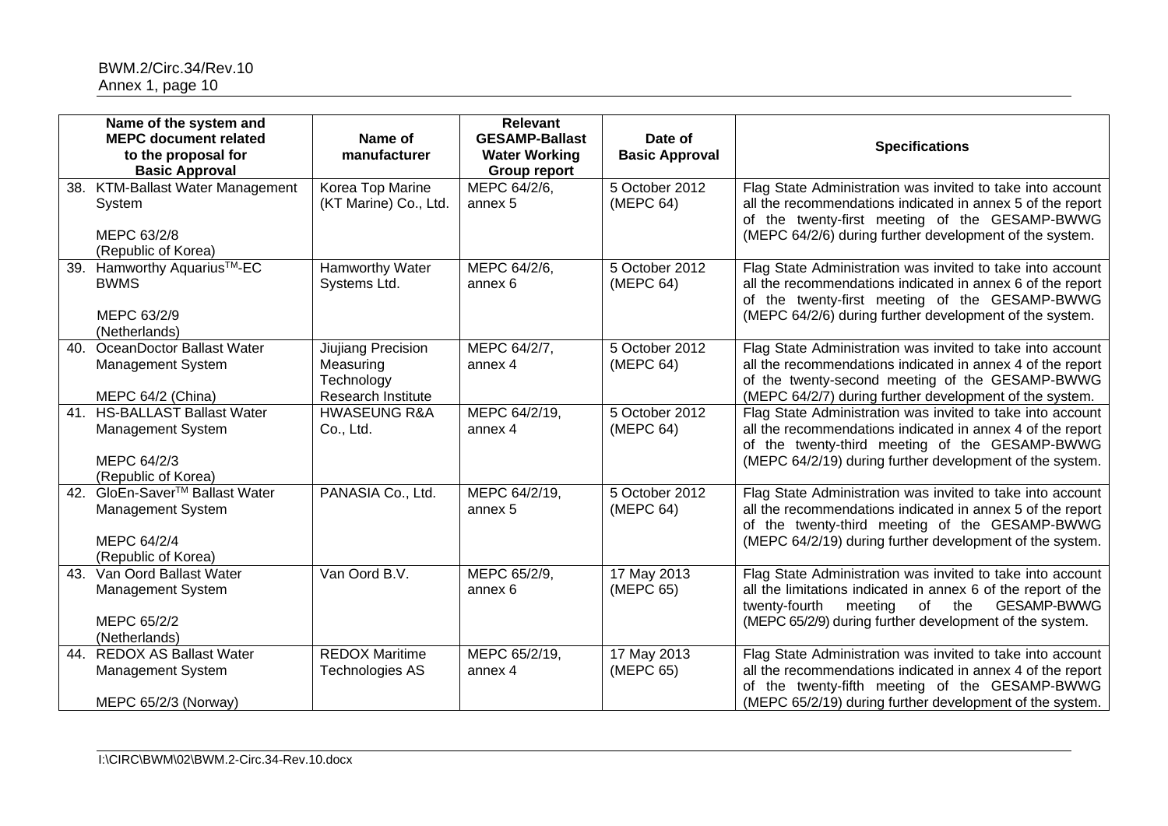|     | Name of the system and<br><b>MEPC document related</b><br>to the proposal for<br><b>Basic Approval</b> | Name of<br>manufacturer                                                    | <b>Relevant</b><br><b>GESAMP-Ballast</b><br><b>Water Working</b><br><b>Group report</b> | Date of<br><b>Basic Approval</b> | <b>Specifications</b>                                                                                                                                                                                                                          |
|-----|--------------------------------------------------------------------------------------------------------|----------------------------------------------------------------------------|-----------------------------------------------------------------------------------------|----------------------------------|------------------------------------------------------------------------------------------------------------------------------------------------------------------------------------------------------------------------------------------------|
| 38. | <b>KTM-Ballast Water Management</b><br>System<br>MEPC 63/2/8<br>(Republic of Korea)                    | Korea Top Marine<br>(KT Marine) Co., Ltd.                                  | MEPC 64/2/6,<br>annex 5                                                                 | 5 October 2012<br>(MEPC 64)      | Flag State Administration was invited to take into account<br>all the recommendations indicated in annex 5 of the report<br>of the twenty-first meeting of the GESAMP-BWWG<br>(MEPC 64/2/6) during further development of the system.          |
| 39. | Hamworthy Aquarius <sup>™-</sup> EC<br><b>BWMS</b><br>MEPC 63/2/9<br>(Netherlands)                     | <b>Hamworthy Water</b><br>Systems Ltd.                                     | MEPC 64/2/6,<br>annex 6                                                                 | 5 October 2012<br>(MEPC 64)      | Flag State Administration was invited to take into account<br>all the recommendations indicated in annex 6 of the report<br>of the twenty-first meeting of the GESAMP-BWWG<br>(MEPC 64/2/6) during further development of the system.          |
| 40. | OceanDoctor Ballast Water<br>Management System<br>MEPC 64/2 (China)                                    | <b>Jiujiang Precision</b><br>Measuring<br>Technology<br>Research Institute | MEPC 64/2/7,<br>annex 4                                                                 | 5 October 2012<br>(MEPC 64)      | Flag State Administration was invited to take into account<br>all the recommendations indicated in annex 4 of the report<br>of the twenty-second meeting of the GESAMP-BWWG<br>(MEPC 64/2/7) during further development of the system.         |
| 41. | <b>HS-BALLAST Ballast Water</b><br><b>Management System</b><br>MEPC 64/2/3<br>(Republic of Korea)      | <b>HWASEUNG R&amp;A</b><br>Co., Ltd.                                       | MEPC 64/2/19,<br>annex 4                                                                | 5 October 2012<br>(MEPC 64)      | Flag State Administration was invited to take into account<br>all the recommendations indicated in annex 4 of the report<br>of the twenty-third meeting of the GESAMP-BWWG<br>(MEPC 64/2/19) during further development of the system.         |
| 42. | GloEn-Saver <sup>™</sup> Ballast Water<br>Management System<br>MEPC 64/2/4<br>(Republic of Korea)      | PANASIA Co., Ltd.                                                          | MEPC 64/2/19,<br>annex 5                                                                | 5 October 2012<br>(MEPC 64)      | Flag State Administration was invited to take into account<br>all the recommendations indicated in annex 5 of the report<br>of the twenty-third meeting of the GESAMP-BWWG<br>(MEPC 64/2/19) during further development of the system.         |
| 43. | Van Oord Ballast Water<br>Management System<br>MEPC 65/2/2<br>(Netherlands)                            | Van Oord B.V.                                                              | MEPC 65/2/9,<br>annex 6                                                                 | 17 May 2013<br>(MEPC 65)         | Flag State Administration was invited to take into account<br>all the limitations indicated in annex 6 of the report of the<br>GESAMP-BWWG<br>twenty-fourth<br>meeting<br>of<br>the<br>(MEPC 65/2/9) during further development of the system. |
| 44. | <b>REDOX AS Ballast Water</b><br>Management System<br>MEPC 65/2/3 (Norway)                             | <b>REDOX Maritime</b><br><b>Technologies AS</b>                            | MEPC 65/2/19,<br>annex 4                                                                | 17 May 2013<br>(MEPC 65)         | Flag State Administration was invited to take into account<br>all the recommendations indicated in annex 4 of the report<br>of the twenty-fifth meeting of the GESAMP-BWWG<br>(MEPC 65/2/19) during further development of the system.         |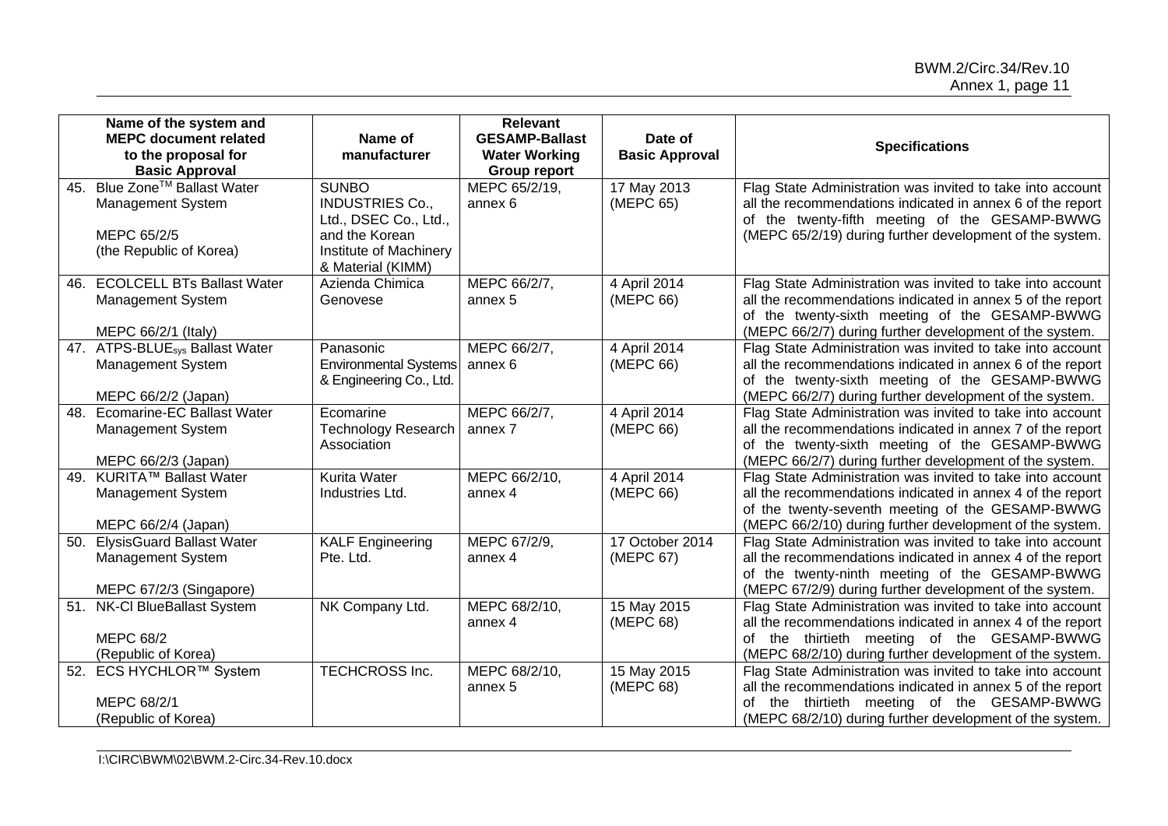|     | Name of the system and<br><b>MEPC document related</b><br>to the proposal for<br><b>Basic Approval</b> | Name of<br>manufacturer                                                                                                          | <b>Relevant</b><br><b>GESAMP-Ballast</b><br><b>Water Working</b><br><b>Group report</b> | Date of<br><b>Basic Approval</b> | <b>Specifications</b>                                                                                                                                                                                                                    |
|-----|--------------------------------------------------------------------------------------------------------|----------------------------------------------------------------------------------------------------------------------------------|-----------------------------------------------------------------------------------------|----------------------------------|------------------------------------------------------------------------------------------------------------------------------------------------------------------------------------------------------------------------------------------|
| 45. | Blue Zone™ Ballast Water<br><b>Management System</b><br>MEPC 65/2/5<br>(the Republic of Korea)         | <b>SUNBO</b><br><b>INDUSTRIES Co.,</b><br>Ltd., DSEC Co., Ltd.,<br>and the Korean<br>Institute of Machinery<br>& Material (KIMM) | MEPC 65/2/19,<br>annex 6                                                                | 17 May 2013<br>(MEPC 65)         | Flag State Administration was invited to take into account<br>all the recommendations indicated in annex 6 of the report<br>of the twenty-fifth meeting of the GESAMP-BWWG<br>(MEPC 65/2/19) during further development of the system.   |
| 46. | <b>ECOLCELL BTs Ballast Water</b><br><b>Management System</b><br>MEPC 66/2/1 (Italy)                   | Azienda Chimica<br>Genovese                                                                                                      | MEPC 66/2/7,<br>annex 5                                                                 | 4 April 2014<br>(MEPC 66)        | Flag State Administration was invited to take into account<br>all the recommendations indicated in annex 5 of the report<br>of the twenty-sixth meeting of the GESAMP-BWWG<br>(MEPC 66/2/7) during further development of the system.    |
|     | 47. ATPS-BLUE <sub>sys</sub> Ballast Water<br><b>Management System</b><br>MEPC 66/2/2 (Japan)          | Panasonic<br><b>Environmental Systems</b><br>& Engineering Co., Ltd.                                                             | MEPC 66/2/7,<br>annex 6                                                                 | 4 April 2014<br>(MEPC 66)        | Flag State Administration was invited to take into account<br>all the recommendations indicated in annex 6 of the report<br>of the twenty-sixth meeting of the GESAMP-BWWG<br>(MEPC 66/2/7) during further development of the system.    |
| 48. | <b>Ecomarine-EC Ballast Water</b><br><b>Management System</b><br>MEPC 66/2/3 (Japan)                   | Ecomarine<br><b>Technology Research</b><br>Association                                                                           | MEPC 66/2/7,<br>annex 7                                                                 | 4 April 2014<br>(MEPC 66)        | Flag State Administration was invited to take into account<br>all the recommendations indicated in annex 7 of the report<br>of the twenty-sixth meeting of the GESAMP-BWWG<br>(MEPC 66/2/7) during further development of the system.    |
| 49. | <b>KURITA™ Ballast Water</b><br><b>Management System</b><br>MEPC 66/2/4 (Japan)                        | Kurita Water<br>Industries Ltd.                                                                                                  | MEPC 66/2/10,<br>annex 4                                                                | 4 April 2014<br>(MEPC 66)        | Flag State Administration was invited to take into account<br>all the recommendations indicated in annex 4 of the report<br>of the twenty-seventh meeting of the GESAMP-BWWG<br>(MEPC 66/2/10) during further development of the system. |
| 50. | <b>ElysisGuard Ballast Water</b><br>Management System<br>MEPC 67/2/3 (Singapore)                       | <b>KALF Engineering</b><br>Pte. Ltd.                                                                                             | MEPC 67/2/9,<br>annex 4                                                                 | 17 October 2014<br>(MEPC 67)     | Flag State Administration was invited to take into account<br>all the recommendations indicated in annex 4 of the report<br>of the twenty-ninth meeting of the GESAMP-BWWG<br>(MEPC 67/2/9) during further development of the system.    |
| 51. | NK-Cl BlueBallast System<br><b>MEPC 68/2</b><br>(Republic of Korea)                                    | NK Company Ltd.                                                                                                                  | MEPC 68/2/10,<br>annex 4                                                                | 15 May 2015<br>(MEPC 68)         | Flag State Administration was invited to take into account<br>all the recommendations indicated in annex 4 of the report<br>of the thirtieth meeting of the GESAMP-BWWG<br>(MEPC 68/2/10) during further development of the system.      |
|     | 52. ECS HYCHLOR™ System<br>MEPC 68/2/1<br>(Republic of Korea)                                          | TECHCROSS Inc.                                                                                                                   | MEPC 68/2/10,<br>annex 5                                                                | 15 May 2015<br>(MEPC 68)         | Flag State Administration was invited to take into account<br>all the recommendations indicated in annex 5 of the report<br>of the thirtieth meeting of the GESAMP-BWWG<br>(MEPC 68/2/10) during further development of the system.      |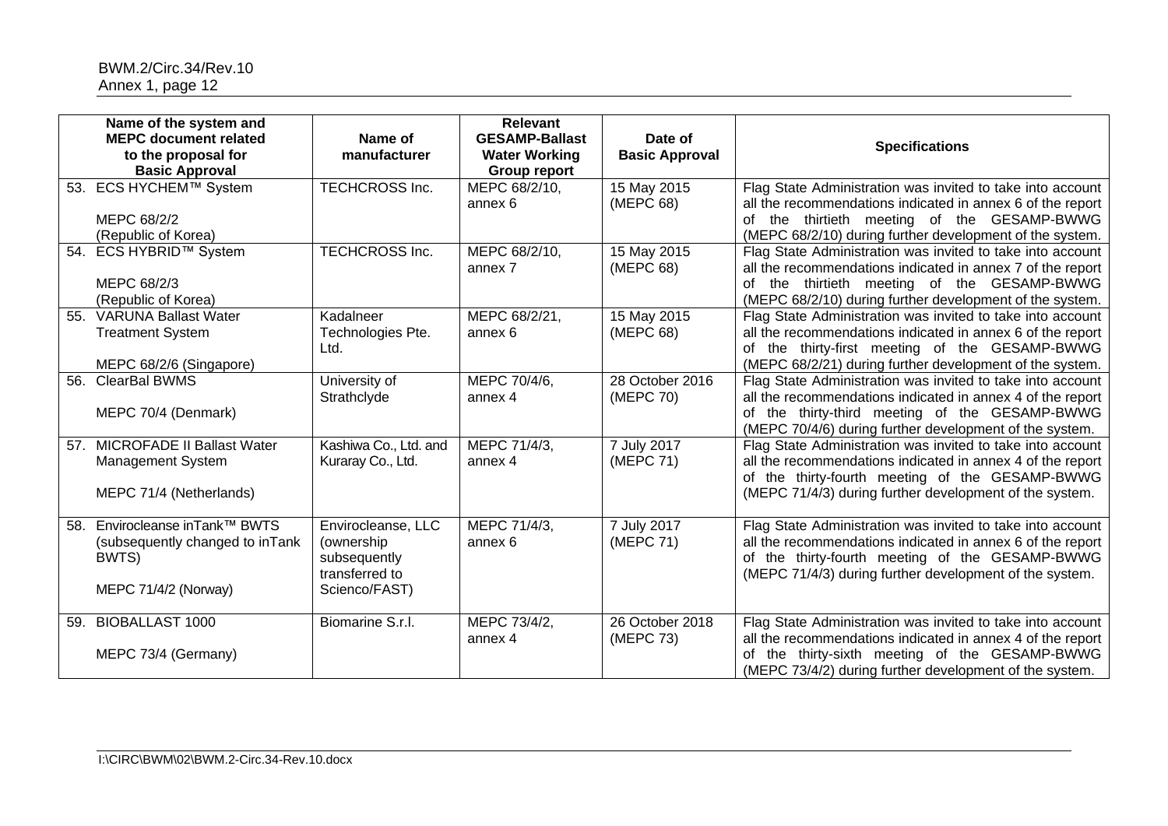|     | Name of the system and<br><b>MEPC document related</b><br>to the proposal for<br><b>Basic Approval</b> | Name of<br>manufacturer                                                              | <b>Relevant</b><br><b>GESAMP-Ballast</b><br><b>Water Working</b><br><b>Group report</b> | Date of<br><b>Basic Approval</b> | <b>Specifications</b>                                                                                                                                                                                                                  |
|-----|--------------------------------------------------------------------------------------------------------|--------------------------------------------------------------------------------------|-----------------------------------------------------------------------------------------|----------------------------------|----------------------------------------------------------------------------------------------------------------------------------------------------------------------------------------------------------------------------------------|
| 53. | ECS HYCHEM™ System<br>MEPC 68/2/2<br>(Republic of Korea)                                               | <b>TECHCROSS Inc.</b>                                                                | MEPC 68/2/10,<br>annex 6                                                                | 15 May 2015<br>(MEPC 68)         | Flag State Administration was invited to take into account<br>all the recommendations indicated in annex 6 of the report<br>of the thirtieth meeting of the GESAMP-BWWG<br>(MEPC 68/2/10) during further development of the system.    |
| 54. | ECS HYBRID™ System<br>MEPC 68/2/3<br>(Republic of Korea)                                               | <b>TECHCROSS Inc.</b>                                                                | MEPC 68/2/10,<br>annex 7                                                                | 15 May 2015<br>(MEPC 68)         | Flag State Administration was invited to take into account<br>all the recommendations indicated in annex 7 of the report<br>of the thirtieth meeting of the GESAMP-BWWG<br>(MEPC 68/2/10) during further development of the system.    |
| 55. | <b>VARUNA Ballast Water</b><br><b>Treatment System</b><br>MEPC 68/2/6 (Singapore)                      | Kadalneer<br>Technologies Pte.<br>Ltd.                                               | MEPC 68/2/21,<br>annex 6                                                                | 15 May 2015<br>(MEPC 68)         | Flag State Administration was invited to take into account<br>all the recommendations indicated in annex 6 of the report<br>of the thirty-first meeting of the GESAMP-BWWG<br>(MEPC 68/2/21) during further development of the system. |
| 56. | <b>ClearBal BWMS</b><br>MEPC 70/4 (Denmark)                                                            | University of<br>Strathclyde                                                         | MEPC 70/4/6,<br>annex 4                                                                 | 28 October 2016<br>(MEPC 70)     | Flag State Administration was invited to take into account<br>all the recommendations indicated in annex 4 of the report<br>of the thirty-third meeting of the GESAMP-BWWG<br>(MEPC 70/4/6) during further development of the system.  |
|     | 57. MICROFADE II Ballast Water<br><b>Management System</b><br>MEPC 71/4 (Netherlands)                  | Kashiwa Co., Ltd. and<br>Kuraray Co., Ltd.                                           | MEPC 71/4/3,<br>annex 4                                                                 | 7 July 2017<br>(MEPC 71)         | Flag State Administration was invited to take into account<br>all the recommendations indicated in annex 4 of the report<br>of the thirty-fourth meeting of the GESAMP-BWWG<br>(MEPC 71/4/3) during further development of the system. |
| 58. | Envirocleanse inTank™ BWTS<br>(subsequently changed to inTank<br>BWTS)<br>MEPC 71/4/2 (Norway)         | Envirocleanse, LLC<br>(ownership)<br>subsequently<br>transferred to<br>Scienco/FAST) | MEPC 71/4/3,<br>annex 6                                                                 | 7 July 2017<br>(MEPC 71)         | Flag State Administration was invited to take into account<br>all the recommendations indicated in annex 6 of the report<br>of the thirty-fourth meeting of the GESAMP-BWWG<br>(MEPC 71/4/3) during further development of the system. |
| 59. | <b>BIOBALLAST 1000</b><br>MEPC 73/4 (Germany)                                                          | Biomarine S.r.l.                                                                     | MEPC 73/4/2,<br>annex 4                                                                 | 26 October 2018<br>(MEPC 73)     | Flag State Administration was invited to take into account<br>all the recommendations indicated in annex 4 of the report<br>of the thirty-sixth meeting of the GESAMP-BWWG<br>(MEPC 73/4/2) during further development of the system.  |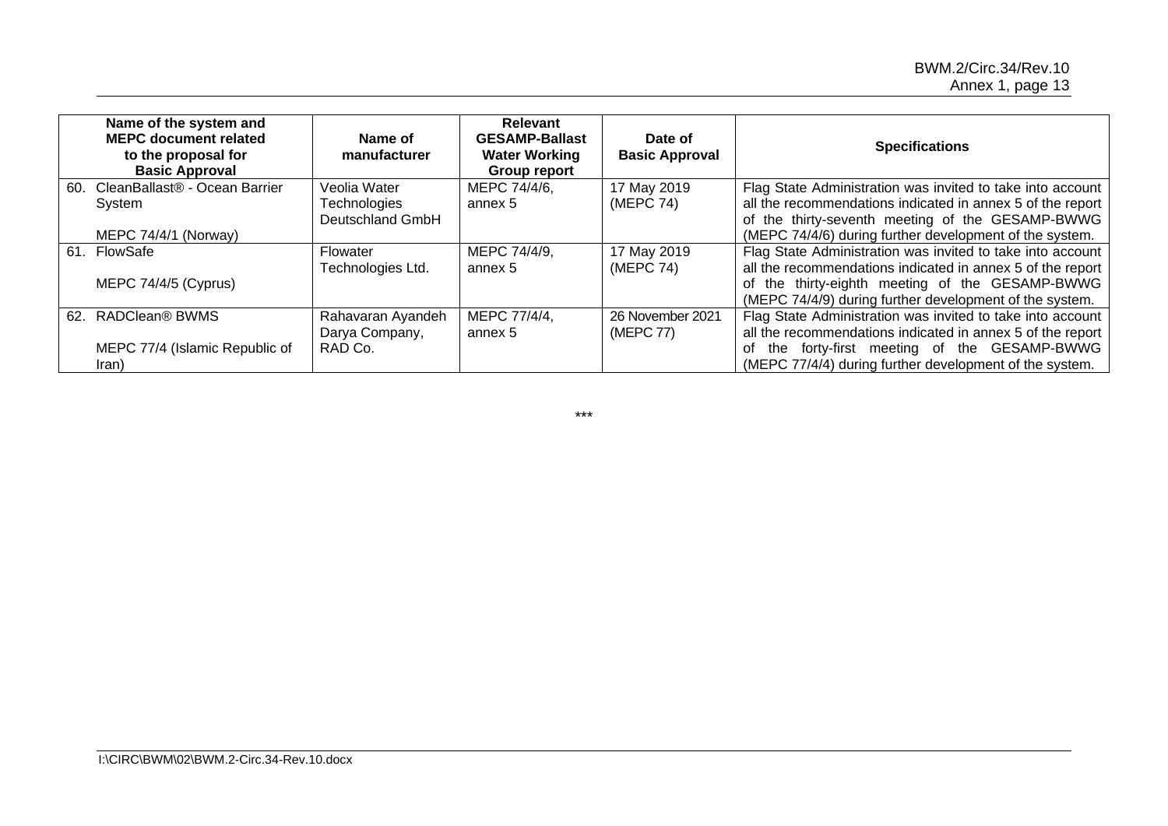| Name of the system and<br><b>MEPC document related</b><br>to the proposal for<br><b>Basic Approval</b> | Name of<br>manufacturer | Relevant<br><b>GESAMP-Ballast</b><br><b>Water Working</b><br>Group report | Date of<br><b>Basic Approval</b> | <b>Specifications</b>                                      |
|--------------------------------------------------------------------------------------------------------|-------------------------|---------------------------------------------------------------------------|----------------------------------|------------------------------------------------------------|
| CleanBallast® - Ocean Barrier<br>60.                                                                   | Veolia Water            | MEPC 74/4/6,                                                              | 17 May 2019                      | Flag State Administration was invited to take into account |
| System                                                                                                 | Technologies            | annex 5                                                                   | (MEPC 74)                        | all the recommendations indicated in annex 5 of the report |
|                                                                                                        | Deutschland GmbH        |                                                                           |                                  | of the thirty-seventh meeting of the GESAMP-BWWG           |
| MEPC 74/4/1 (Norway)                                                                                   |                         |                                                                           |                                  | (MEPC 74/4/6) during further development of the system.    |
| 61. FlowSafe                                                                                           | Flowater                | MEPC 74/4/9,                                                              | 17 May 2019                      | Flag State Administration was invited to take into account |
|                                                                                                        | Technologies Ltd.       | annex 5                                                                   | (MEPC 74)                        | all the recommendations indicated in annex 5 of the report |
| MEPC 74/4/5 (Cyprus)                                                                                   |                         |                                                                           |                                  | of the thirty-eighth meeting of the GESAMP-BWWG            |
|                                                                                                        |                         |                                                                           |                                  | (MEPC 74/4/9) during further development of the system.    |
| 62. RADClean® BWMS                                                                                     | Rahavaran Ayandeh       | MEPC 77/4/4,                                                              | 26 November 2021                 | Flag State Administration was invited to take into account |
|                                                                                                        | Darya Company,          | annex 5                                                                   | (MEPC 77)                        | all the recommendations indicated in annex 5 of the report |
| MEPC 77/4 (Islamic Republic of                                                                         | RAD Co.                 |                                                                           |                                  | the forty-first meeting of the GESAMP-BWWG<br>of           |
| Iran)                                                                                                  |                         |                                                                           |                                  | (MEPC 77/4/4) during further development of the system.    |

\*\*\*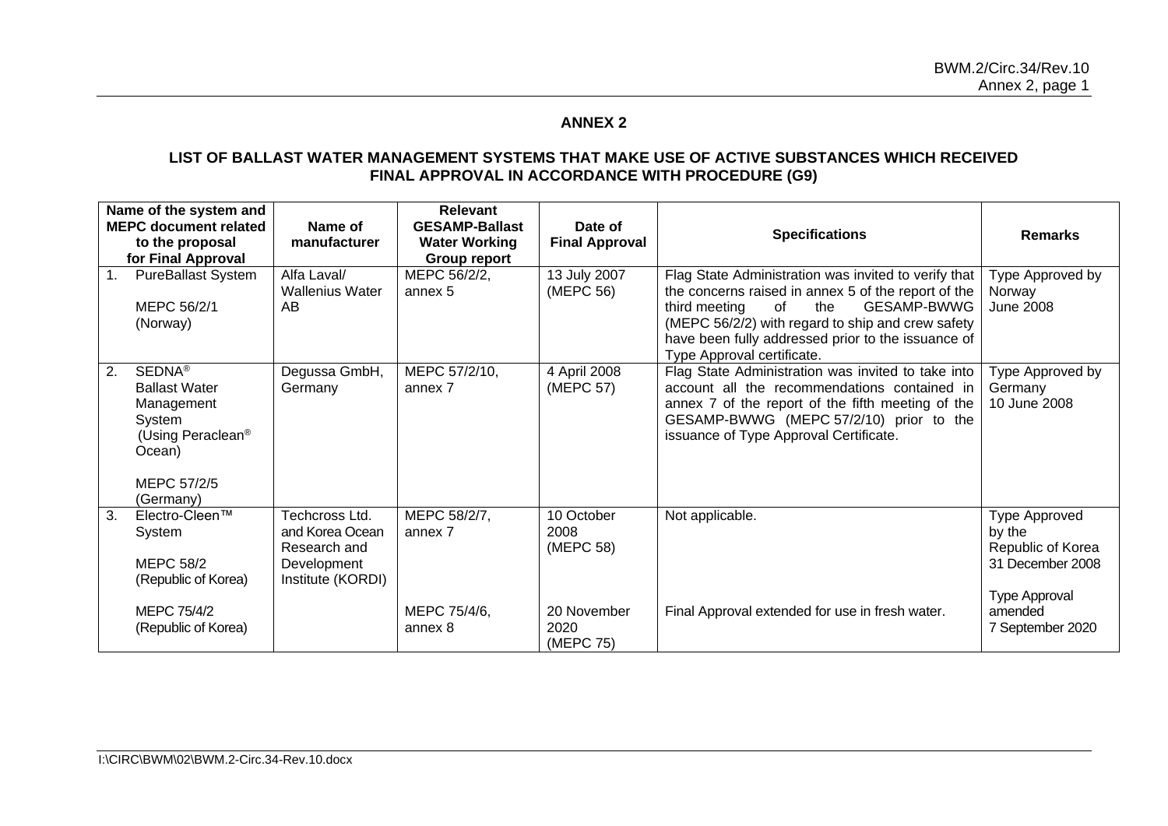# **ANNEX 2**

### **LIST OF BALLAST WATER MANAGEMENT SYSTEMS THAT MAKE USE OF ACTIVE SUBSTANCES WHICH RECEIVED FINAL APPROVAL IN ACCORDANCE WITH PROCEDURE (G9)**

|    | Name of the system and<br><b>MEPC document related</b><br>to the proposal<br>for Final Approval                                           | Name of<br>manufacturer                                                               | <b>Relevant</b><br><b>GESAMP-Ballast</b><br><b>Water Working</b><br>Group report | Date of<br><b>Final Approval</b> | <b>Specifications</b>                                                                                                                                                                                                                                                                             | <b>Remarks</b>                                                                           |
|----|-------------------------------------------------------------------------------------------------------------------------------------------|---------------------------------------------------------------------------------------|----------------------------------------------------------------------------------|----------------------------------|---------------------------------------------------------------------------------------------------------------------------------------------------------------------------------------------------------------------------------------------------------------------------------------------------|------------------------------------------------------------------------------------------|
| 1. | <b>PureBallast System</b><br>MEPC 56/2/1<br>(Norway)                                                                                      | Alfa Laval/<br><b>Wallenius Water</b><br>AB                                           | MEPC 56/2/2,<br>annex 5                                                          | 13 July 2007<br>(MEPC 56)        | Flag State Administration was invited to verify that<br>the concerns raised in annex 5 of the report of the<br>of<br>the<br>GESAMP-BWWG<br>third meeting<br>(MEPC 56/2/2) with regard to ship and crew safety<br>have been fully addressed prior to the issuance of<br>Type Approval certificate. | Type Approved by<br>Norway<br><b>June 2008</b>                                           |
| 2. | SEDNA <sup>®</sup><br><b>Ballast Water</b><br>Management<br>System<br>(Using Peraclean <sup>®</sup><br>Ocean)<br>MEPC 57/2/5<br>(Germany) | Degussa GmbH,<br>Germany                                                              | MEPC 57/2/10,<br>annex 7                                                         | 4 April 2008<br>(MEPC 57)        | Flag State Administration was invited to take into<br>account all the recommendations contained in<br>annex 7 of the report of the fifth meeting of the<br>GESAMP-BWWG (MEPC 57/2/10) prior to the<br>issuance of Type Approval Certificate.                                                      | Type Approved by<br>Germany<br>10 June 2008                                              |
| 3. | Electro-Cleen™<br>System<br><b>MEPC 58/2</b><br>(Republic of Korea)                                                                       | Techcross Ltd.<br>and Korea Ocean<br>Research and<br>Development<br>Institute (KORDI) | MEPC 58/2/7,<br>annex 7                                                          | 10 October<br>2008<br>(MEPC 58)  | Not applicable.                                                                                                                                                                                                                                                                                   | Type Approved<br>by the<br>Republic of Korea<br>31 December 2008<br><b>Type Approval</b> |
|    | MEPC 75/4/2<br>(Republic of Korea)                                                                                                        |                                                                                       | MEPC 75/4/6.<br>annex 8                                                          | 20 November<br>2020<br>(MEPC 75) | Final Approval extended for use in fresh water.                                                                                                                                                                                                                                                   | amended<br>7 September 2020                                                              |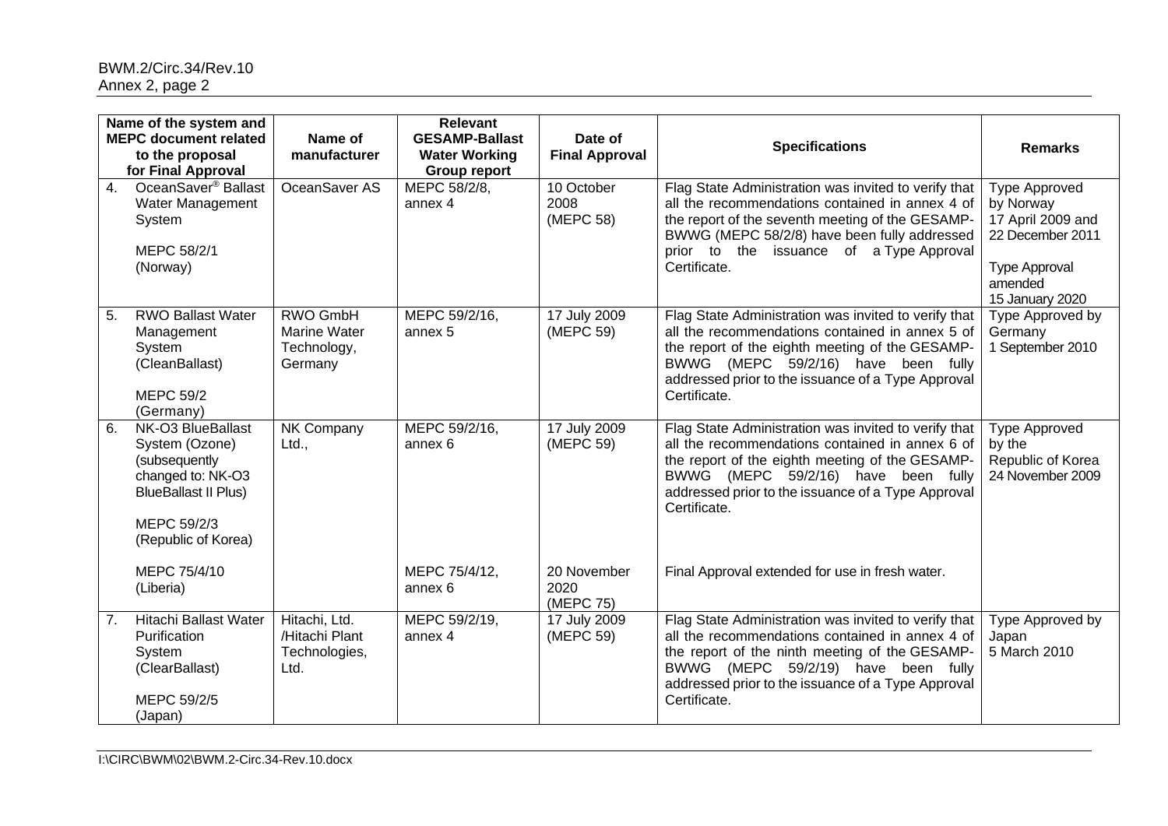|                  | Name of the system and<br><b>MEPC document related</b><br>to the proposal<br>for Final Approval                                                | Name of<br>manufacturer                                   | <b>Relevant</b><br><b>GESAMP-Ballast</b><br><b>Water Working</b><br><b>Group report</b> | Date of<br><b>Final Approval</b> | <b>Specifications</b>                                                                                                                                                                                                                                                   | <b>Remarks</b>                                                                                                                   |
|------------------|------------------------------------------------------------------------------------------------------------------------------------------------|-----------------------------------------------------------|-----------------------------------------------------------------------------------------|----------------------------------|-------------------------------------------------------------------------------------------------------------------------------------------------------------------------------------------------------------------------------------------------------------------------|----------------------------------------------------------------------------------------------------------------------------------|
| $\overline{4}$ . | OceanSaver <sup>®</sup> Ballast<br>Water Management<br>System<br>MEPC 58/2/1<br>(Norway)                                                       | OceanSaver AS                                             | MEPC 58/2/8,<br>annex 4                                                                 | 10 October<br>2008<br>(MEPC 58)  | Flag State Administration was invited to verify that<br>all the recommendations contained in annex 4 of<br>the report of the seventh meeting of the GESAMP-<br>BWWG (MEPC 58/2/8) have been fully addressed<br>prior to the issuance of a Type Approval<br>Certificate. | <b>Type Approved</b><br>by Norway<br>17 April 2009 and<br>22 December 2011<br><b>Type Approval</b><br>amended<br>15 January 2020 |
| 5.               | <b>RWO Ballast Water</b><br>Management<br>System<br>(CleanBallast)<br><b>MEPC 59/2</b><br>(Germany)                                            | RWO GmbH<br><b>Marine Water</b><br>Technology,<br>Germany | MEPC 59/2/16,<br>annex 5                                                                | 17 July 2009<br>(MEPC 59)        | Flag State Administration was invited to verify that<br>all the recommendations contained in annex 5 of<br>the report of the eighth meeting of the GESAMP-<br>BWWG (MEPC 59/2/16) have been fully<br>addressed prior to the issuance of a Type Approval<br>Certificate. | Type Approved by<br>Germany<br>1 September 2010                                                                                  |
| 6.               | NK-O3 BlueBallast<br>System (Ozone)<br>(subsequently<br>changed to: NK-O3<br><b>BlueBallast II Plus)</b><br>MEPC 59/2/3<br>(Republic of Korea) | NK Company<br>Ltd.,                                       | MEPC 59/2/16,<br>annex 6                                                                | 17 July 2009<br>(MEPC 59)        | Flag State Administration was invited to verify that<br>all the recommendations contained in annex 6 of<br>the report of the eighth meeting of the GESAMP-<br>BWWG (MEPC 59/2/16) have been fully<br>addressed prior to the issuance of a Type Approval<br>Certificate. | <b>Type Approved</b><br>by the<br>Republic of Korea<br>24 November 2009                                                          |
|                  | MEPC 75/4/10<br>(Liberia)                                                                                                                      |                                                           | MEPC 75/4/12,<br>annex 6                                                                | 20 November<br>2020<br>(MEPC 75) | Final Approval extended for use in fresh water.                                                                                                                                                                                                                         |                                                                                                                                  |
| 7.               | <b>Hitachi Ballast Water</b><br>Purification<br>System<br>(ClearBallast)<br>MEPC 59/2/5<br>(Japan)                                             | Hitachi, Ltd.<br>/Hitachi Plant<br>Technologies,<br>Ltd.  | MEPC 59/2/19,<br>annex 4                                                                | 17 July 2009<br>(MEPC 59)        | Flag State Administration was invited to verify that<br>all the recommendations contained in annex 4 of<br>the report of the ninth meeting of the GESAMP-<br>BWWG (MEPC 59/2/19) have been fully<br>addressed prior to the issuance of a Type Approval<br>Certificate.  | Type Approved by<br>Japan<br>5 March 2010                                                                                        |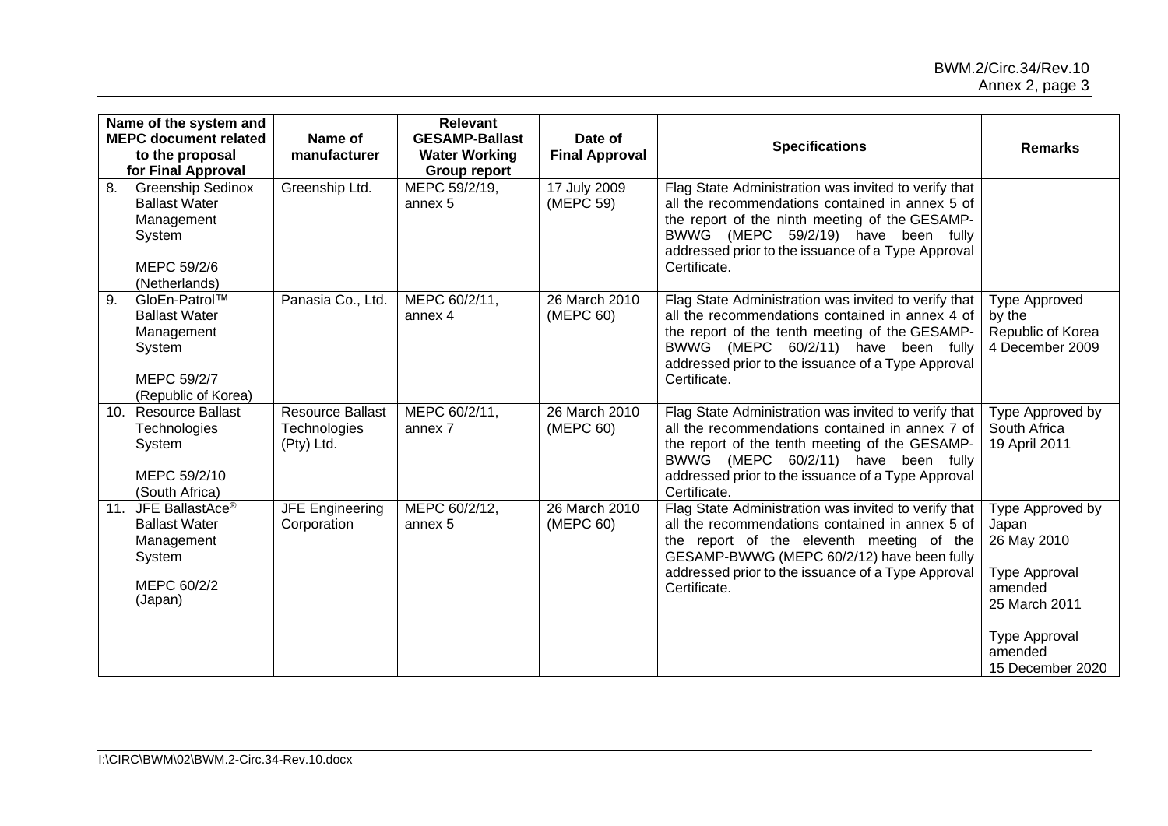|     | Name of the system and<br><b>MEPC document related</b><br>to the proposal<br>for Final Approval          | Name of<br>manufacturer                               | <b>Relevant</b><br><b>GESAMP-Ballast</b><br><b>Water Working</b><br><b>Group report</b> | Date of<br><b>Final Approval</b> | <b>Specifications</b>                                                                                                                                                                                                                                                    | <b>Remarks</b>                                                                                                                               |
|-----|----------------------------------------------------------------------------------------------------------|-------------------------------------------------------|-----------------------------------------------------------------------------------------|----------------------------------|--------------------------------------------------------------------------------------------------------------------------------------------------------------------------------------------------------------------------------------------------------------------------|----------------------------------------------------------------------------------------------------------------------------------------------|
| 8.  | <b>Greenship Sedinox</b><br><b>Ballast Water</b><br>Management<br>System<br>MEPC 59/2/6<br>(Netherlands) | Greenship Ltd.                                        | MEPC 59/2/19,<br>annex 5                                                                | 17 July 2009<br>(MEPC 59)        | Flag State Administration was invited to verify that<br>all the recommendations contained in annex 5 of<br>the report of the ninth meeting of the GESAMP-<br>BWWG (MEPC 59/2/19) have been fully<br>addressed prior to the issuance of a Type Approval<br>Certificate.   |                                                                                                                                              |
| 9.  | GloEn-Patrol™<br><b>Ballast Water</b><br>Management<br>System<br>MEPC 59/2/7<br>(Republic of Korea)      | Panasia Co., Ltd.                                     | MEPC 60/2/11,<br>annex 4                                                                | 26 March 2010<br>(MEPC 60)       | Flag State Administration was invited to verify that<br>all the recommendations contained in annex 4 of<br>the report of the tenth meeting of the GESAMP-<br>BWWG (MEPC 60/2/11) have been fully<br>addressed prior to the issuance of a Type Approval<br>Certificate.   | <b>Type Approved</b><br>by the<br>Republic of Korea<br>4 December 2009                                                                       |
| 10. | <b>Resource Ballast</b><br>Technologies<br>System<br>MEPC 59/2/10<br>(South Africa)                      | <b>Resource Ballast</b><br>Technologies<br>(Pty) Ltd. | MEPC 60/2/11,<br>annex 7                                                                | 26 March 2010<br>(MEPC 60)       | Flag State Administration was invited to verify that<br>all the recommendations contained in annex 7 of<br>the report of the tenth meeting of the GESAMP-<br>BWWG (MEPC 60/2/11) have been fully<br>addressed prior to the issuance of a Type Approval<br>Certificate.   | Type Approved by<br>South Africa<br>19 April 2011                                                                                            |
| 11. | JFE BallastAce <sup>®</sup><br><b>Ballast Water</b><br>Management<br>System<br>MEPC 60/2/2<br>(Japan)    | <b>JFE Engineering</b><br>Corporation                 | MEPC 60/2/12,<br>annex 5                                                                | 26 March 2010<br>(MEPC 60)       | Flag State Administration was invited to verify that<br>all the recommendations contained in annex 5 of<br>the report of the eleventh meeting of the<br>GESAMP-BWWG (MEPC 60/2/12) have been fully<br>addressed prior to the issuance of a Type Approval<br>Certificate. | Type Approved by<br>Japan<br>26 May 2010<br><b>Type Approval</b><br>amended<br>25 March 2011<br>Type Approval<br>amended<br>15 December 2020 |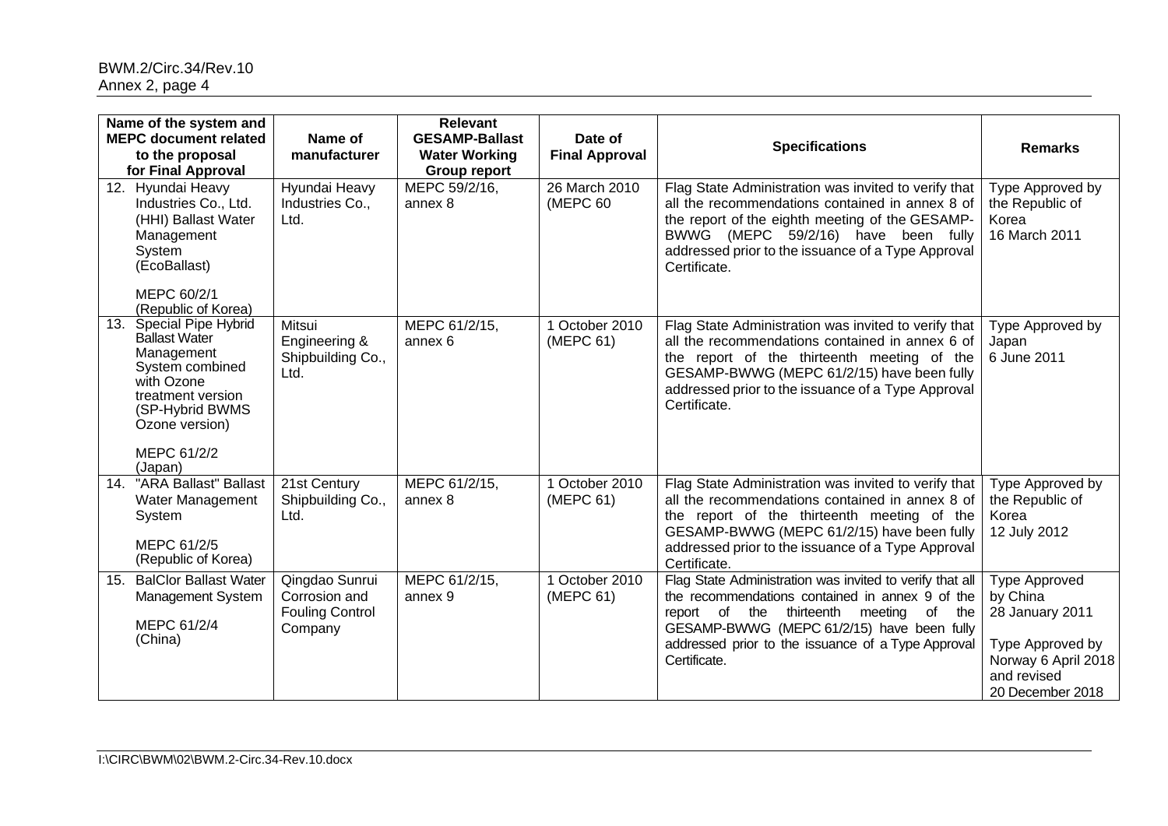|     | Name of the system and<br><b>MEPC document related</b><br>to the proposal<br>for Final Approval                                                                                       | Name of<br>manufacturer                                              | <b>Relevant</b><br><b>GESAMP-Ballast</b><br><b>Water Working</b><br><b>Group report</b> | Date of<br><b>Final Approval</b> | <b>Specifications</b>                                                                                                                                                                                                                                                            | <b>Remarks</b>                                                                                                                    |
|-----|---------------------------------------------------------------------------------------------------------------------------------------------------------------------------------------|----------------------------------------------------------------------|-----------------------------------------------------------------------------------------|----------------------------------|----------------------------------------------------------------------------------------------------------------------------------------------------------------------------------------------------------------------------------------------------------------------------------|-----------------------------------------------------------------------------------------------------------------------------------|
|     | 12. Hyundai Heavy<br>Industries Co., Ltd.<br>(HHI) Ballast Water<br>Management<br>System<br>(EcoBallast)<br>MEPC 60/2/1<br>(Republic of Korea)                                        | Hyundai Heavy<br>Industries Co.,<br>Ltd.                             | MEPC 59/2/16.<br>annex 8                                                                | 26 March 2010<br>(MEPC 60        | Flag State Administration was invited to verify that<br>all the recommendations contained in annex 8 of<br>the report of the eighth meeting of the GESAMP-<br>(MEPC 59/2/16) have been fully<br>BWWG<br>addressed prior to the issuance of a Type Approval<br>Certificate.       | Type Approved by<br>the Republic of<br>Korea<br>16 March 2011                                                                     |
| 13. | <b>Special Pipe Hybrid</b><br><b>Ballast Water</b><br>Management<br>System combined<br>with Ozone<br>treatment version<br>(SP-Hybrid BWMS<br>Ozone version)<br>MEPC 61/2/2<br>(Japan) | Mitsui<br>Engineering &<br>Shipbuilding Co.,<br>Ltd.                 | MEPC 61/2/15,<br>annex 6                                                                | 1 October 2010<br>(MEPC 61)      | Flag State Administration was invited to verify that<br>all the recommendations contained in annex 6 of<br>the report of the thirteenth meeting of the<br>GESAMP-BWWG (MEPC 61/2/15) have been fully<br>addressed prior to the issuance of a Type Approval<br>Certificate.       | Type Approved by<br>Japan<br>6 June 2011                                                                                          |
|     | 14. "ARA Ballast" Ballast<br>Water Management<br>System<br>MEPC 61/2/5<br>(Republic of Korea)                                                                                         | 21st Century<br>Shipbuilding Co.,<br>Ltd.                            | MEPC 61/2/15,<br>annex 8                                                                | 1 October 2010<br>(MEPC 61)      | Flag State Administration was invited to verify that<br>all the recommendations contained in annex 8 of<br>the report of the thirteenth meeting of the<br>GESAMP-BWWG (MEPC 61/2/15) have been fully<br>addressed prior to the issuance of a Type Approval<br>Certificate.       | Type Approved by<br>the Republic of<br>Korea<br>12 July 2012                                                                      |
| 15. | <b>BalClor Ballast Water</b><br>Management System<br>MEPC 61/2/4<br>(China)                                                                                                           | Qingdao Sunrui<br>Corrosion and<br><b>Fouling Control</b><br>Company | MEPC 61/2/15,<br>annex 9                                                                | 1 October 2010<br>(MEPC 61)      | Flag State Administration was invited to verify that all<br>the recommendations contained in annex 9 of the<br>report of the<br>thirteenth meeting<br>of the<br>GESAMP-BWWG (MEPC 61/2/15) have been fully<br>addressed prior to the issuance of a Type Approval<br>Certificate. | <b>Type Approved</b><br>by China<br>28 January 2011<br>Type Approved by<br>Norway 6 April 2018<br>and revised<br>20 December 2018 |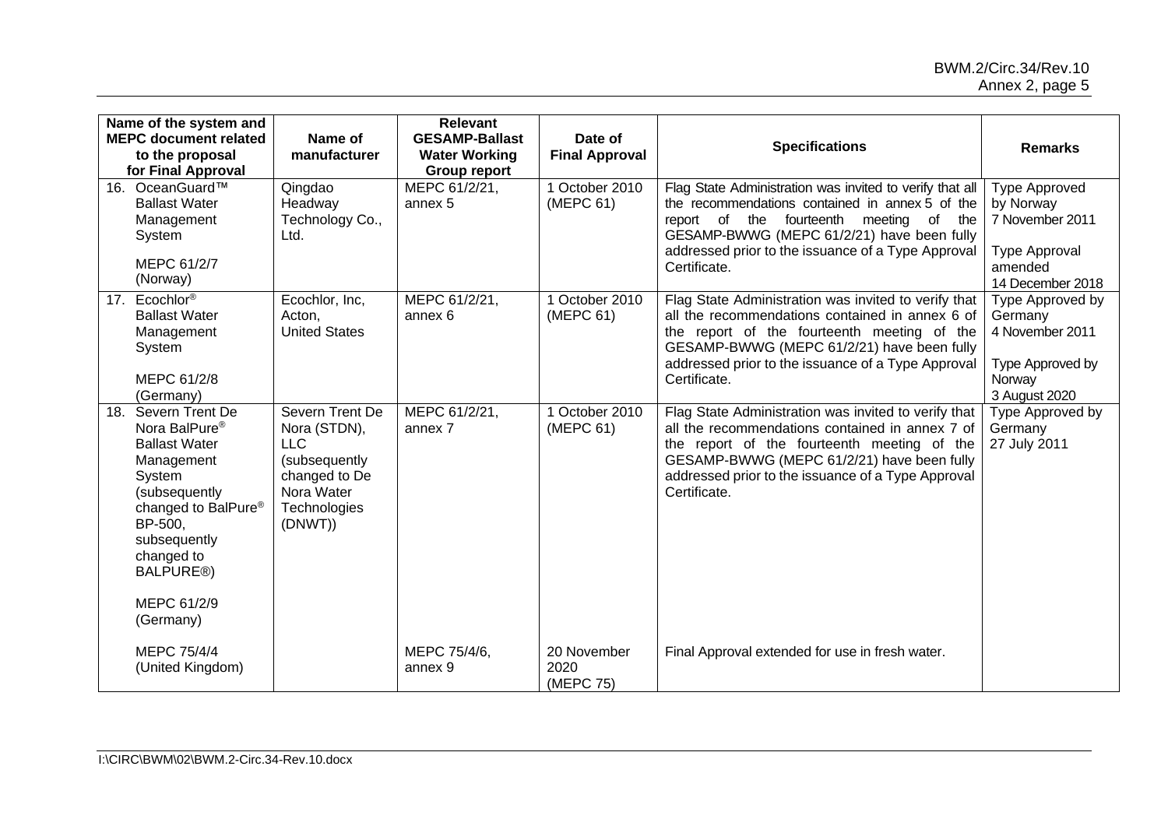### BWM.2/Circ.34/Rev.10 Annex 2, page 5

| Name of the system and<br><b>MEPC document related</b><br>to the proposal<br>for Final Approval                                                                                                                                                      | Name of<br>manufacturer                                                                                                  | <b>Relevant</b><br><b>GESAMP-Ballast</b><br><b>Water Working</b><br><b>Group report</b> | Date of<br><b>Final Approval</b> | <b>Specifications</b>                                                                                                                                                                                                                                                      | <b>Remarks</b>                                                                                       |
|------------------------------------------------------------------------------------------------------------------------------------------------------------------------------------------------------------------------------------------------------|--------------------------------------------------------------------------------------------------------------------------|-----------------------------------------------------------------------------------------|----------------------------------|----------------------------------------------------------------------------------------------------------------------------------------------------------------------------------------------------------------------------------------------------------------------------|------------------------------------------------------------------------------------------------------|
| 16. OceanGuard™<br><b>Ballast Water</b><br>Management<br>System<br>MEPC 61/2/7<br>(Norway)                                                                                                                                                           | Qingdao<br>Headway<br>Technology Co.,<br>Ltd.                                                                            | MEPC 61/2/21,<br>annex 5                                                                | 1 October 2010<br>(MEPC 61)      | Flag State Administration was invited to verify that all<br>the recommendations contained in annex 5 of the<br>report of the fourteenth meeting of the<br>GESAMP-BWWG (MEPC 61/2/21) have been fully<br>addressed prior to the issuance of a Type Approval<br>Certificate. | <b>Type Approved</b><br>by Norway<br>7 November 2011<br>Type Approval<br>amended<br>14 December 2018 |
| 17. Ecochlor®<br><b>Ballast Water</b><br>Management<br>System<br>MEPC 61/2/8<br>(Germany)                                                                                                                                                            | Ecochlor, Inc,<br>Acton,<br><b>United States</b>                                                                         | MEPC 61/2/21,<br>annex 6                                                                | 1 October 2010<br>(MEPC 61)      | Flag State Administration was invited to verify that<br>all the recommendations contained in annex 6 of<br>the report of the fourteenth meeting of the<br>GESAMP-BWWG (MEPC 61/2/21) have been fully<br>addressed prior to the issuance of a Type Approval<br>Certificate. | Type Approved by<br>Germany<br>4 November 2011<br>Type Approved by<br>Norway<br>3 August 2020        |
| 18.<br>Severn Trent De<br>Nora BalPure <sup>®</sup><br><b>Ballast Water</b><br>Management<br>System<br>(subsequently<br>changed to BalPure <sup>®</sup><br>BP-500,<br>subsequently<br>changed to<br>BALPURE <sup>®</sup><br>MEPC 61/2/9<br>(Germany) | Severn Trent De<br>Nora (STDN),<br><b>LLC</b><br>(subsequently<br>changed to De<br>Nora Water<br>Technologies<br>(DNWT)) | MEPC 61/2/21,<br>annex 7                                                                | 1 October 2010<br>(MEPC 61)      | Flag State Administration was invited to verify that<br>all the recommendations contained in annex 7 of<br>the report of the fourteenth meeting of the<br>GESAMP-BWWG (MEPC 61/2/21) have been fully<br>addressed prior to the issuance of a Type Approval<br>Certificate. | Type Approved by<br>Germany<br>27 July 2011                                                          |
| MEPC 75/4/4<br>(United Kingdom)                                                                                                                                                                                                                      |                                                                                                                          | MEPC 75/4/6,<br>annex 9                                                                 | 20 November<br>2020<br>(MEPC 75) | Final Approval extended for use in fresh water.                                                                                                                                                                                                                            |                                                                                                      |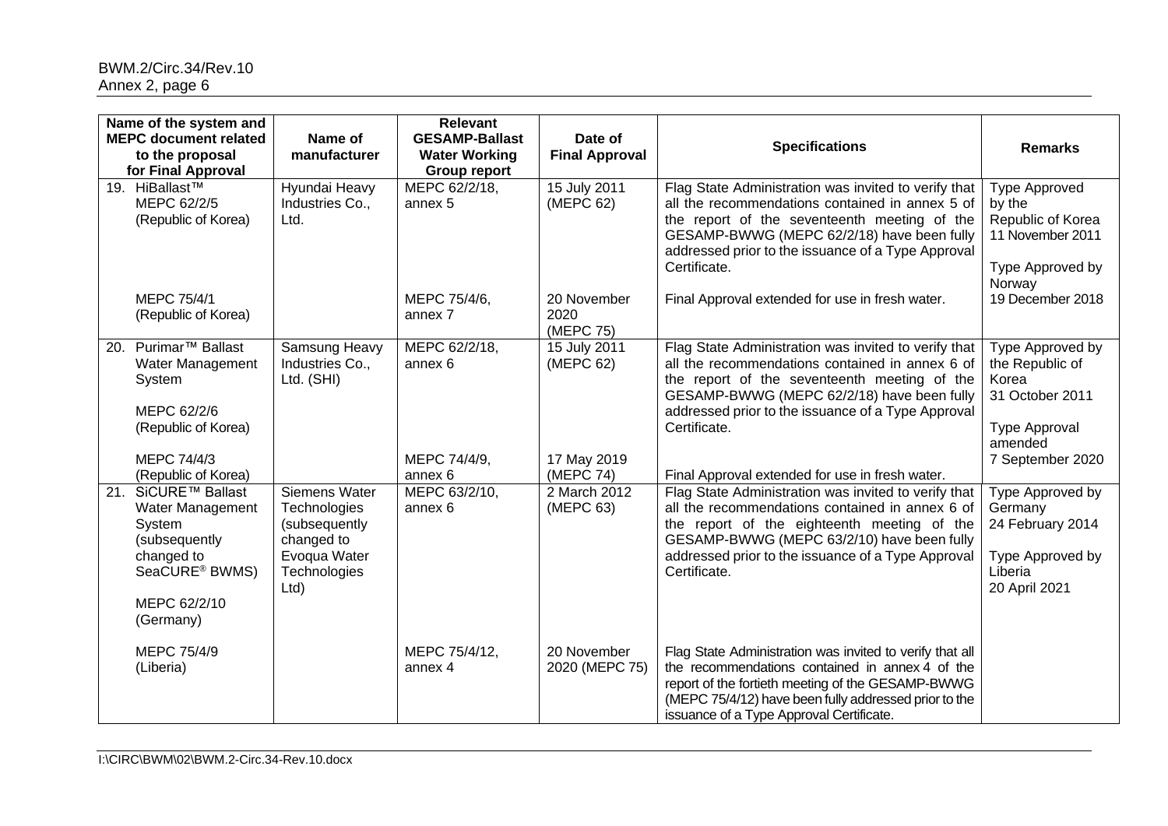|     | Name of the system and<br><b>MEPC document related</b><br>to the proposal<br>for Final Approval                                                                | Name of<br>manufacturer                                                                              | <b>Relevant</b><br><b>GESAMP-Ballast</b><br><b>Water Working</b><br><b>Group report</b> | Date of<br><b>Final Approval</b>         | <b>Specifications</b>                                                                                                                                                                                                                                                                                                         | <b>Remarks</b>                                                                                                         |
|-----|----------------------------------------------------------------------------------------------------------------------------------------------------------------|------------------------------------------------------------------------------------------------------|-----------------------------------------------------------------------------------------|------------------------------------------|-------------------------------------------------------------------------------------------------------------------------------------------------------------------------------------------------------------------------------------------------------------------------------------------------------------------------------|------------------------------------------------------------------------------------------------------------------------|
|     | 19. HiBallast™<br>MEPC 62/2/5<br>(Republic of Korea)                                                                                                           | Hyundai Heavy<br>Industries Co.,<br>Ltd.                                                             | MEPC 62/2/18,<br>annex 5                                                                | 15 July 2011<br>(MEPC 62)                | Flag State Administration was invited to verify that<br>all the recommendations contained in annex 5 of<br>the report of the seventeenth meeting of the<br>GESAMP-BWWG (MEPC 62/2/18) have been fully<br>addressed prior to the issuance of a Type Approval<br>Certificate.                                                   | <b>Type Approved</b><br>by the<br>Republic of Korea<br>11 November 2011<br>Type Approved by<br>Norway                  |
|     | MEPC 75/4/1<br>(Republic of Korea)                                                                                                                             |                                                                                                      | MEPC 75/4/6,<br>annex 7                                                                 | 20 November<br>2020<br>(MEPC 75)         | Final Approval extended for use in fresh water.                                                                                                                                                                                                                                                                               | 19 December 2018                                                                                                       |
|     | 20. Purimar <sup>™</sup> Ballast<br>Water Management<br>System<br>MEPC 62/2/6<br>(Republic of Korea)<br>MEPC 74/4/3                                            | Samsung Heavy<br>Industries Co.,<br>Ltd. (SHI)                                                       | MEPC 62/2/18,<br>annex 6<br>MEPC 74/4/9,                                                | 15 July 2011<br>(MEPC 62)<br>17 May 2019 | Flag State Administration was invited to verify that<br>all the recommendations contained in annex 6 of<br>the report of the seventeenth meeting of the<br>GESAMP-BWWG (MEPC 62/2/18) have been fully<br>addressed prior to the issuance of a Type Approval<br>Certificate.                                                   | Type Approved by<br>the Republic of<br>Korea<br>31 October 2011<br><b>Type Approval</b><br>amended<br>7 September 2020 |
| 21. | (Republic of Korea)<br>SiCURE™ Ballast<br>Water Management<br>System<br>(subsequently<br>changed to<br>SeaCURE <sup>®</sup> BWMS)<br>MEPC 62/2/10<br>(Germany) | Siemens Water<br>Technologies<br>(subsequently<br>changed to<br>Evoqua Water<br>Technologies<br>Ltd) | annex 6<br>MEPC 63/2/10.<br>annex 6                                                     | (MEPC 74)<br>2 March 2012<br>(MEPC 63)   | Final Approval extended for use in fresh water.<br>Flag State Administration was invited to verify that<br>all the recommendations contained in annex 6 of<br>the report of the eighteenth meeting of the<br>GESAMP-BWWG (MEPC 63/2/10) have been fully<br>addressed prior to the issuance of a Type Approval<br>Certificate. | Type Approved by<br>Germany<br>24 February 2014<br>Type Approved by<br>Liberia<br>20 April 2021                        |
|     | MEPC 75/4/9<br>(Liberia)                                                                                                                                       |                                                                                                      | MEPC 75/4/12,<br>annex 4                                                                | 20 November<br>2020 (MEPC 75)            | Flag State Administration was invited to verify that all<br>the recommendations contained in annex 4 of the<br>report of the fortieth meeting of the GESAMP-BWWG<br>(MEPC 75/4/12) have been fully addressed prior to the<br>issuance of a Type Approval Certificate.                                                         |                                                                                                                        |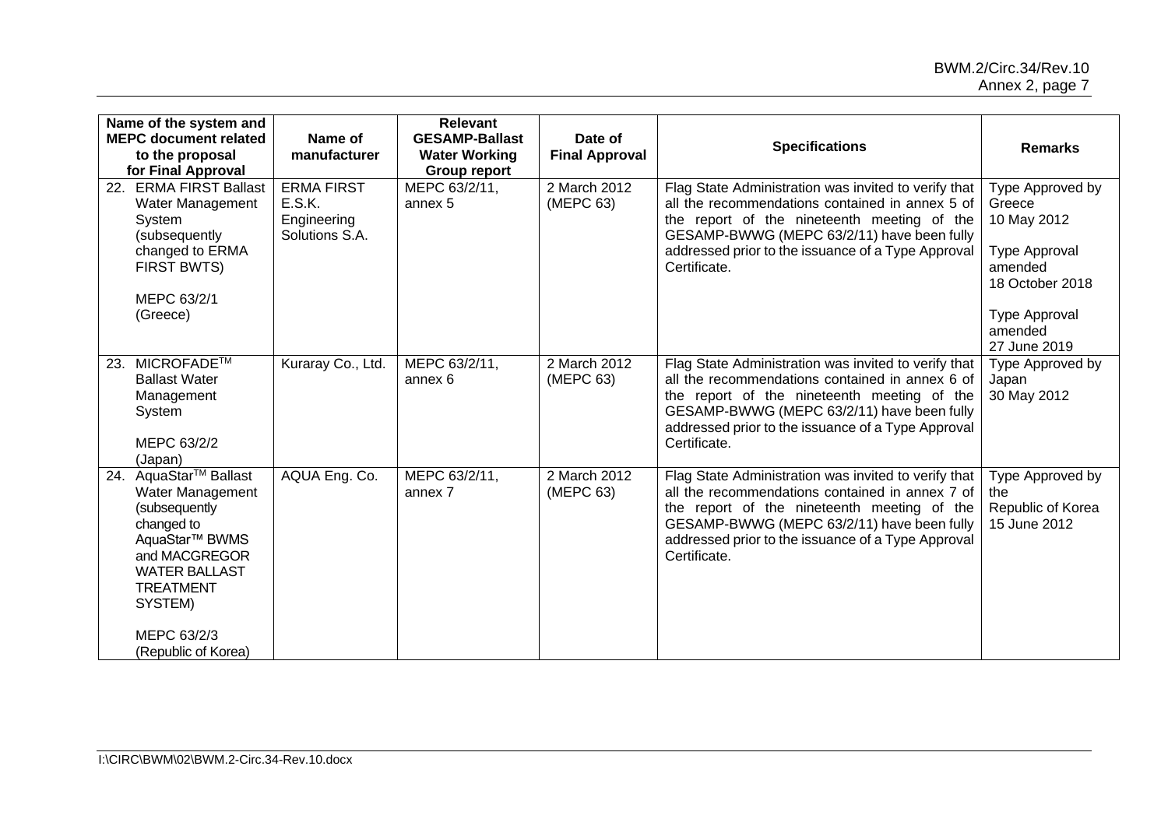|     | Name of the system and<br><b>MEPC document related</b><br>to the proposal<br>for Final Approval                                                                                                                              | Name of<br>manufacturer                                      | <b>Relevant</b><br><b>GESAMP-Ballast</b><br><b>Water Working</b><br><b>Group report</b> | Date of<br><b>Final Approval</b> | <b>Specifications</b>                                                                                                                                                                                                                                                      | <b>Remarks</b>                                                                                                                                     |
|-----|------------------------------------------------------------------------------------------------------------------------------------------------------------------------------------------------------------------------------|--------------------------------------------------------------|-----------------------------------------------------------------------------------------|----------------------------------|----------------------------------------------------------------------------------------------------------------------------------------------------------------------------------------------------------------------------------------------------------------------------|----------------------------------------------------------------------------------------------------------------------------------------------------|
| 22. | <b>ERMA FIRST Ballast</b><br>Water Management<br>System<br>(subsequently<br>changed to ERMA<br><b>FIRST BWTS)</b><br>MEPC 63/2/1<br>(Greece)                                                                                 | <b>ERMA FIRST</b><br>E.S.K.<br>Engineering<br>Solutions S.A. | MEPC 63/2/11,<br>annex 5                                                                | 2 March 2012<br>(MEPC 63)        | Flag State Administration was invited to verify that<br>all the recommendations contained in annex 5 of<br>the report of the nineteenth meeting of the<br>GESAMP-BWWG (MEPC 63/2/11) have been fully<br>addressed prior to the issuance of a Type Approval<br>Certificate. | Type Approved by<br>Greece<br>10 May 2012<br><b>Type Approval</b><br>amended<br>18 October 2018<br><b>Type Approval</b><br>amended<br>27 June 2019 |
| 23. | MICROFADE™<br><b>Ballast Water</b><br>Management<br>System<br>MEPC 63/2/2<br>(Japan)                                                                                                                                         | Kuraray Co., Ltd.                                            | MEPC 63/2/11,<br>annex 6                                                                | 2 March 2012<br>(MEPC 63)        | Flag State Administration was invited to verify that<br>all the recommendations contained in annex 6 of<br>the report of the nineteenth meeting of the<br>GESAMP-BWWG (MEPC 63/2/11) have been fully<br>addressed prior to the issuance of a Type Approval<br>Certificate. | Type Approved by<br>Japan<br>30 May 2012                                                                                                           |
| 24. | AquaStar <sup>™</sup> Ballast<br>Water Management<br>(subsequently<br>changed to<br>AquaStar <sup>™</sup> BWMS<br>and MACGREGOR<br><b>WATER BALLAST</b><br><b>TREATMENT</b><br>SYSTEM)<br>MEPC 63/2/3<br>(Republic of Korea) | AQUA Eng. Co.                                                | MEPC 63/2/11,<br>annex 7                                                                | 2 March 2012<br>(MEPC 63)        | Flag State Administration was invited to verify that<br>all the recommendations contained in annex 7 of<br>the report of the nineteenth meeting of the<br>GESAMP-BWWG (MEPC 63/2/11) have been fully<br>addressed prior to the issuance of a Type Approval<br>Certificate. | Type Approved by<br>the<br>Republic of Korea<br>15 June 2012                                                                                       |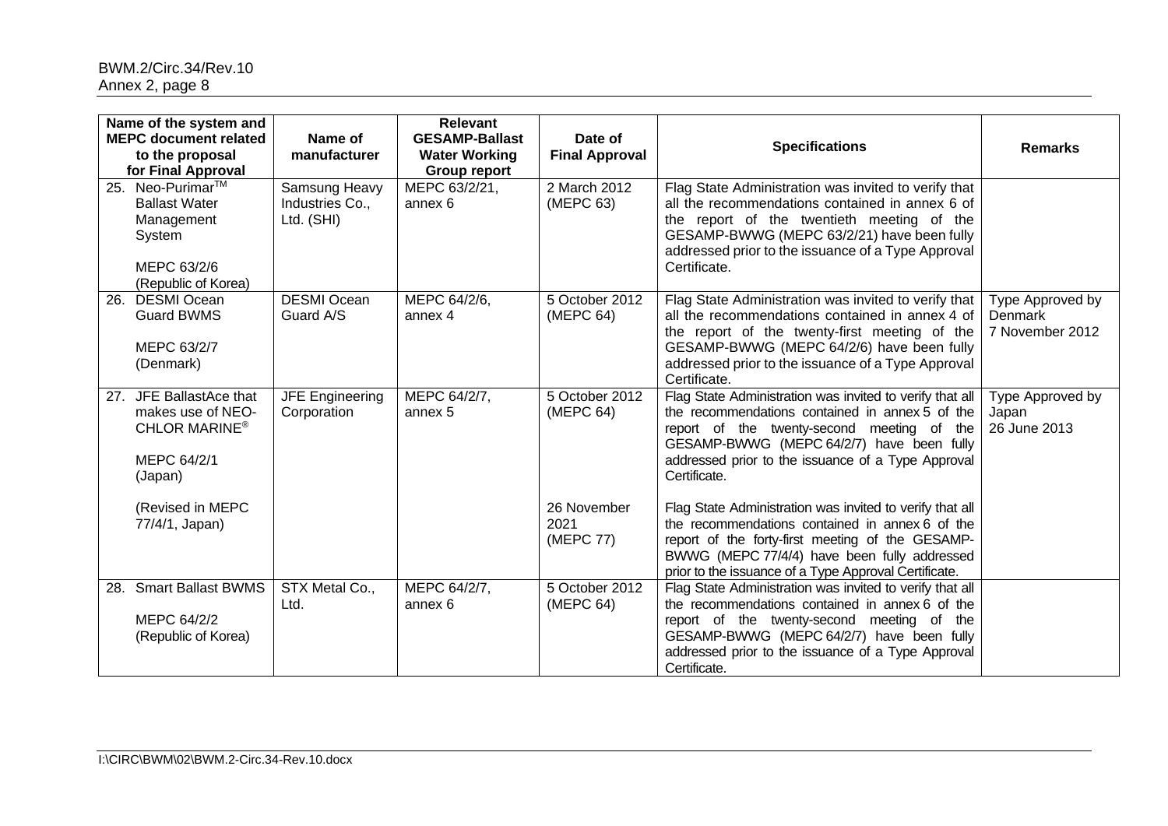| Name of the system and<br><b>MEPC document related</b><br>to the proposal<br>for Final Approval        | Name of<br>manufacturer                        | <b>Relevant</b><br><b>GESAMP-Ballast</b><br><b>Water Working</b><br><b>Group report</b> | Date of<br><b>Final Approval</b> | <b>Specifications</b>                                                                                                                                                                                                                                                        | <b>Remarks</b>                                        |
|--------------------------------------------------------------------------------------------------------|------------------------------------------------|-----------------------------------------------------------------------------------------|----------------------------------|------------------------------------------------------------------------------------------------------------------------------------------------------------------------------------------------------------------------------------------------------------------------------|-------------------------------------------------------|
| 25. Neo-Purimar™<br><b>Ballast Water</b><br>Management<br>System<br>MEPC 63/2/6<br>(Republic of Korea) | Samsung Heavy<br>Industries Co.,<br>Ltd. (SHI) | MEPC 63/2/21,<br>annex 6                                                                | 2 March 2012<br>(MEPC 63)        | Flag State Administration was invited to verify that<br>all the recommendations contained in annex 6 of<br>the report of the twentieth meeting of the<br>GESAMP-BWWG (MEPC 63/2/21) have been fully<br>addressed prior to the issuance of a Type Approval<br>Certificate.    |                                                       |
| <b>DESMI Ocean</b><br>26.<br><b>Guard BWMS</b><br>MEPC 63/2/7<br>(Denmark)                             | <b>DESMI Ocean</b><br>Guard A/S                | MEPC 64/2/6,<br>annex 4                                                                 | 5 October 2012<br>(MEPC 64)      | Flag State Administration was invited to verify that<br>all the recommendations contained in annex 4 of<br>the report of the twenty-first meeting of the<br>GESAMP-BWWG (MEPC 64/2/6) have been fully<br>addressed prior to the issuance of a Type Approval<br>Certificate.  | Type Approved by<br><b>Denmark</b><br>7 November 2012 |
| 27. JFE BallastAce that<br>makes use of NEO-<br>CHLOR MARINE <sup>®</sup><br>MEPC 64/2/1<br>(Japan)    | <b>JFE Engineering</b><br>Corporation          | MEPC 64/2/7,<br>annex 5                                                                 | 5 October 2012<br>(MEPC 64)      | Flag State Administration was invited to verify that all<br>the recommendations contained in annex 5 of the<br>report of the twenty-second meeting of the<br>GESAMP-BWWG (MEPC 64/2/7) have been fully<br>addressed prior to the issuance of a Type Approval<br>Certificate. | Type Approved by<br>Japan<br>26 June 2013             |
| (Revised in MEPC<br>77/4/1, Japan)                                                                     |                                                |                                                                                         | 26 November<br>2021<br>(MEPC 77) | Flag State Administration was invited to verify that all<br>the recommendations contained in annex 6 of the<br>report of the forty-first meeting of the GESAMP-<br>BWWG (MEPC 77/4/4) have been fully addressed<br>prior to the issuance of a Type Approval Certificate.     |                                                       |
| 28. Smart Ballast BWMS<br>MEPC 64/2/2<br>(Republic of Korea)                                           | STX Metal Co.,<br>Ltd.                         | MEPC 64/2/7,<br>annex <sub>6</sub>                                                      | 5 October 2012<br>(MEPC 64)      | Flag State Administration was invited to verify that all<br>the recommendations contained in annex 6 of the<br>report of the twenty-second meeting of the<br>GESAMP-BWWG (MEPC 64/2/7) have been fully<br>addressed prior to the issuance of a Type Approval<br>Certificate. |                                                       |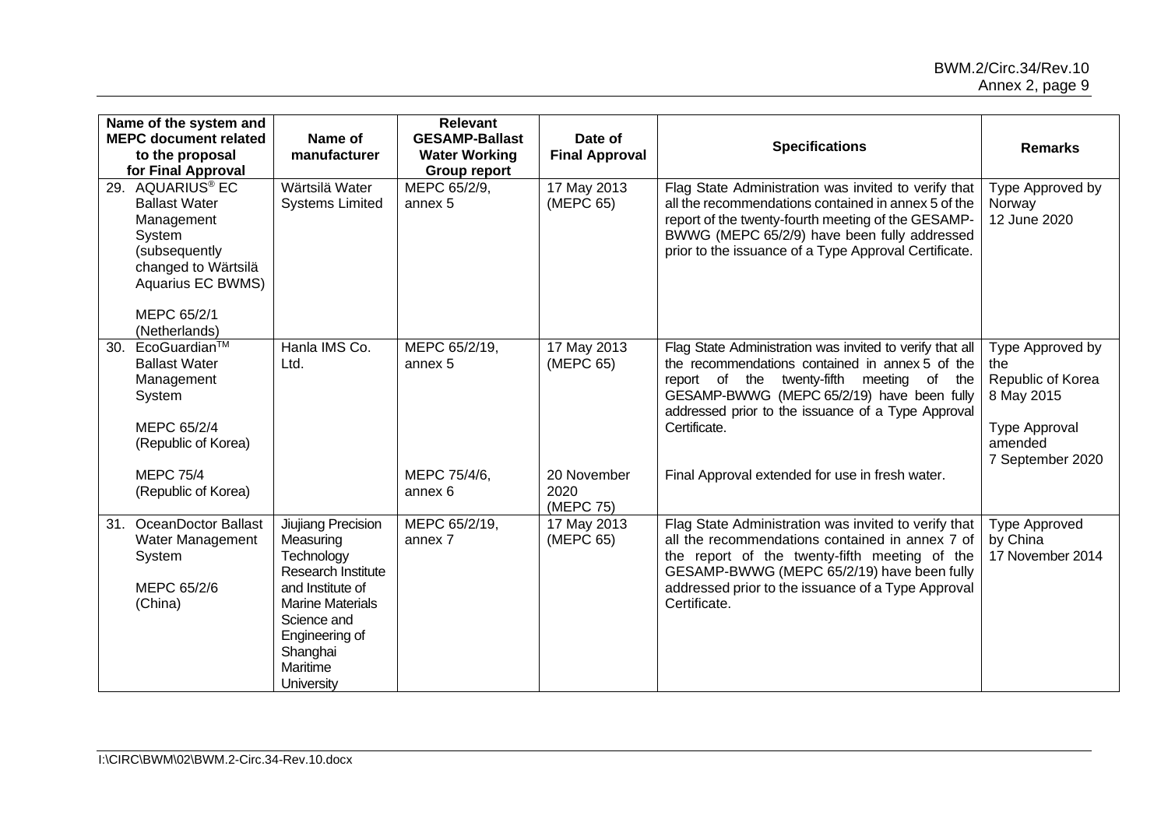|     | Name of the system and<br><b>MEPC document related</b><br>to the proposal<br>for Final Approval                                                               | Name of<br>manufacturer                                                                                                                                                                                 | <b>Relevant</b><br><b>GESAMP-Ballast</b><br><b>Water Working</b><br><b>Group report</b> | Date of<br><b>Final Approval</b> | <b>Specifications</b>                                                                                                                                                                                                                                                        | <b>Remarks</b>                                                                                             |
|-----|---------------------------------------------------------------------------------------------------------------------------------------------------------------|---------------------------------------------------------------------------------------------------------------------------------------------------------------------------------------------------------|-----------------------------------------------------------------------------------------|----------------------------------|------------------------------------------------------------------------------------------------------------------------------------------------------------------------------------------------------------------------------------------------------------------------------|------------------------------------------------------------------------------------------------------------|
|     | 29. AQUARIUS® EC<br><b>Ballast Water</b><br>Management<br>System<br>(subsequently<br>changed to Wärtsilä<br>Aquarius EC BWMS)<br>MEPC 65/2/1<br>(Netherlands) | Wärtsilä Water<br><b>Systems Limited</b>                                                                                                                                                                | MEPC 65/2/9,<br>annex 5                                                                 | 17 May 2013<br>(MEPC 65)         | Flag State Administration was invited to verify that<br>all the recommendations contained in annex 5 of the<br>report of the twenty-fourth meeting of the GESAMP-<br>BWWG (MEPC 65/2/9) have been fully addressed<br>prior to the issuance of a Type Approval Certificate.   | Type Approved by<br>Norway<br>12 June 2020                                                                 |
| 30. | EcoGuardian™<br><b>Ballast Water</b><br>Management<br>System<br>MEPC 65/2/4<br>(Republic of Korea)                                                            | Hanla IMS Co.<br>Ltd.                                                                                                                                                                                   | MEPC 65/2/19,<br>annex 5                                                                | 17 May 2013<br>(MEPC 65)         | Flag State Administration was invited to verify that all<br>the recommendations contained in annex 5 of the<br>report of the twenty-fifth meeting of the<br>GESAMP-BWWG (MEPC 65/2/19) have been fully<br>addressed prior to the issuance of a Type Approval<br>Certificate. | Type Approved by<br>the<br>Republic of Korea<br>8 May 2015<br>Type Approval<br>amended<br>7 September 2020 |
|     | <b>MEPC 75/4</b><br>(Republic of Korea)                                                                                                                       |                                                                                                                                                                                                         | MEPC 75/4/6,<br>annex 6                                                                 | 20 November<br>2020<br>(MEPC 75) | Final Approval extended for use in fresh water.                                                                                                                                                                                                                              |                                                                                                            |
| 31. | <b>OceanDoctor Ballast</b><br>Water Management<br>System<br>MEPC 65/2/6<br>(China)                                                                            | Jiujiang Precision<br>Measuring<br>Technology<br><b>Research Institute</b><br>and Institute of<br><b>Marine Materials</b><br>Science and<br>Engineering of<br>Shanghai<br>Maritime<br><b>University</b> | MEPC 65/2/19,<br>annex 7                                                                | 17 May 2013<br>(MEPC 65)         | Flag State Administration was invited to verify that<br>all the recommendations contained in annex 7 of<br>the report of the twenty-fifth meeting of the<br>GESAMP-BWWG (MEPC 65/2/19) have been fully<br>addressed prior to the issuance of a Type Approval<br>Certificate. | <b>Type Approved</b><br>by China<br>17 November 2014                                                       |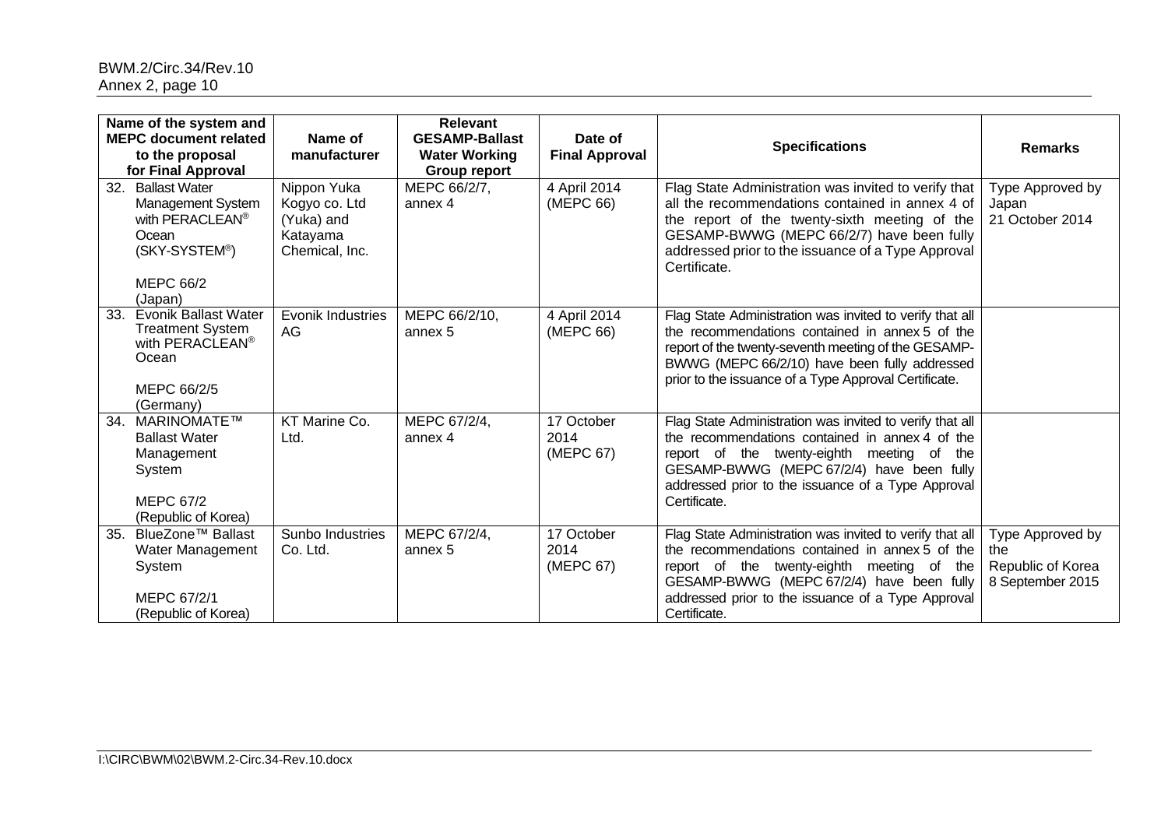|     | Name of the system and<br><b>MEPC document related</b><br>to the proposal<br>for Final Approval                                                | Name of<br>manufacturer                                                  | <b>Relevant</b><br><b>GESAMP-Ballast</b><br><b>Water Working</b><br><b>Group report</b> | Date of<br><b>Final Approval</b> | <b>Specifications</b>                                                                                                                                                                                                                                                           | <b>Remarks</b>                                                   |
|-----|------------------------------------------------------------------------------------------------------------------------------------------------|--------------------------------------------------------------------------|-----------------------------------------------------------------------------------------|----------------------------------|---------------------------------------------------------------------------------------------------------------------------------------------------------------------------------------------------------------------------------------------------------------------------------|------------------------------------------------------------------|
| 32. | <b>Ballast Water</b><br>Management System<br>with PERACLEAN <sup>®</sup><br>Ocean<br>(SKY-SYSTEM <sup>®</sup> )<br><b>MEPC 66/2</b><br>(Japan) | Nippon Yuka<br>Kogyo co. Ltd<br>(Yuka) and<br>Katayama<br>Chemical, Inc. | MEPC 66/2/7,<br>annex 4                                                                 | 4 April 2014<br>(MEPC 66)        | Flag State Administration was invited to verify that<br>all the recommendations contained in annex 4 of<br>the report of the twenty-sixth meeting of the<br>GESAMP-BWWG (MEPC 66/2/7) have been fully<br>addressed prior to the issuance of a Type Approval<br>Certificate.     | Type Approved by<br>Japan<br>21 October 2014                     |
| 33. | <b>Evonik Ballast Water</b><br><b>Treatment System</b><br>with PERACLEAN <sup>®</sup><br>Ocean<br>MEPC 66/2/5<br>(Germany)                     | <b>Evonik Industries</b><br>AG                                           | MEPC 66/2/10,<br>annex 5                                                                | 4 April 2014<br>(MEPC 66)        | Flag State Administration was invited to verify that all<br>the recommendations contained in annex 5 of the<br>report of the twenty-seventh meeting of the GESAMP-<br>BWWG (MEPC 66/2/10) have been fully addressed<br>prior to the issuance of a Type Approval Certificate.    |                                                                  |
| 34. | <b>MARINOMATE™</b><br><b>Ballast Water</b><br>Management<br>System<br><b>MEPC 67/2</b><br>(Republic of Korea)                                  | KT Marine Co.<br>Ltd.                                                    | MEPC 67/2/4,<br>annex 4                                                                 | 17 October<br>2014<br>(MEPC 67)  | Flag State Administration was invited to verify that all<br>the recommendations contained in annex 4 of the<br>report of the twenty-eighth meeting of<br>the<br>GESAMP-BWWG (MEPC 67/2/4) have been fully<br>addressed prior to the issuance of a Type Approval<br>Certificate. |                                                                  |
| 35. | BlueZone™ Ballast<br>Water Management<br>System<br>MEPC 67/2/1<br>(Republic of Korea)                                                          | Sunbo Industries<br>Co. Ltd.                                             | MEPC 67/2/4,<br>annex 5                                                                 | 17 October<br>2014<br>(MEPC 67)  | Flag State Administration was invited to verify that all<br>the recommendations contained in annex 5 of the<br>report of the twenty-eighth meeting of the<br>GESAMP-BWWG (MEPC 67/2/4) have been fully<br>addressed prior to the issuance of a Type Approval<br>Certificate.    | Type Approved by<br>the<br>Republic of Korea<br>8 September 2015 |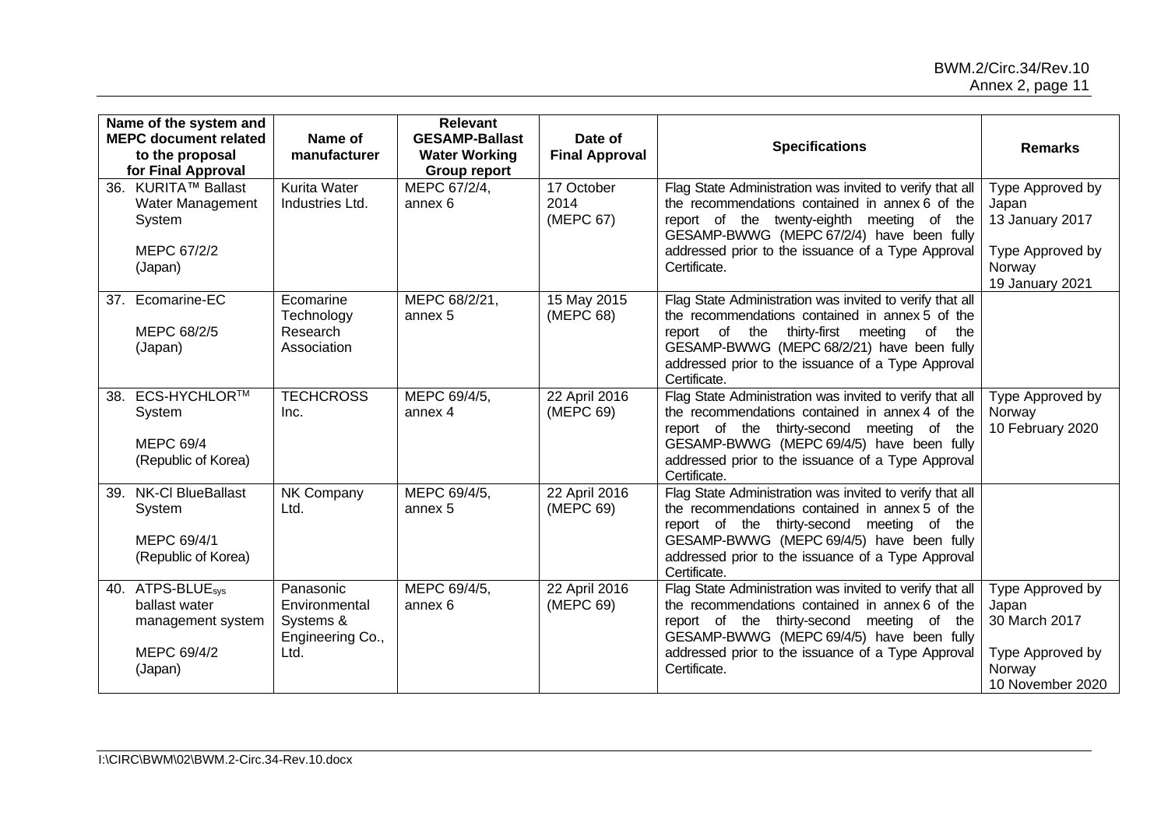### BWM.2/Circ.34/Rev.10 Annex 2, page 11

| Name of the system and<br><b>MEPC document related</b><br>to the proposal<br>for Final Approval | Name of<br>manufacturer                                             | Relevant<br><b>GESAMP-Ballast</b><br><b>Water Working</b><br><b>Group report</b> | Date of<br><b>Final Approval</b> | <b>Specifications</b>                                                                                                                                                                                                                                                                    | <b>Remarks</b>                                                                                |
|-------------------------------------------------------------------------------------------------|---------------------------------------------------------------------|----------------------------------------------------------------------------------|----------------------------------|------------------------------------------------------------------------------------------------------------------------------------------------------------------------------------------------------------------------------------------------------------------------------------------|-----------------------------------------------------------------------------------------------|
| 36. KURITA™ Ballast<br>Water Management<br>System<br>MEPC 67/2/2<br>(Japan)                     | <b>Kurita Water</b><br>Industries Ltd.                              | MEPC 67/2/4,<br>annex 6                                                          | 17 October<br>2014<br>(MEPC 67)  | Flag State Administration was invited to verify that all<br>the recommendations contained in annex 6 of the<br>report of the twenty-eighth meeting of the<br>GESAMP-BWWG (MEPC 67/2/4) have been fully<br>addressed prior to the issuance of a Type Approval<br>Certificate.             | Type Approved by<br>Japan<br>13 January 2017<br>Type Approved by<br>Norway<br>19 January 2021 |
| 37. Ecomarine-EC<br>MEPC 68/2/5<br>(Japan)                                                      | Ecomarine<br>Technology<br>Research<br>Association                  | MEPC 68/2/21,<br>annex 5                                                         | 15 May 2015<br>(MEPC 68)         | Flag State Administration was invited to verify that all<br>the recommendations contained in annex 5 of the<br>report of the<br>thirty-first<br>meeting<br>of<br>the<br>GESAMP-BWWG (MEPC 68/2/21) have been fully<br>addressed prior to the issuance of a Type Approval<br>Certificate. |                                                                                               |
| 38. ECS-HYCHLOR™<br>System<br><b>MEPC 69/4</b><br>(Republic of Korea)                           | <b>TECHCROSS</b><br>Inc.                                            | MEPC 69/4/5,<br>annex 4                                                          | 22 April 2016<br>(MEPC 69)       | Flag State Administration was invited to verify that all<br>the recommendations contained in annex 4 of the<br>report of the thirty-second meeting of the<br>GESAMP-BWWG (MEPC 69/4/5) have been fully<br>addressed prior to the issuance of a Type Approval<br>Certificate.             | Type Approved by<br>Norway<br>10 February 2020                                                |
| 39. NK-Cl BlueBallast<br>System<br>MEPC 69/4/1<br>(Republic of Korea)                           | NK Company<br>Ltd.                                                  | MEPC 69/4/5,<br>annex 5                                                          | 22 April 2016<br>(MEPC 69)       | Flag State Administration was invited to verify that all<br>the recommendations contained in annex 5 of the<br>report of the thirty-second meeting of the<br>GESAMP-BWWG (MEPC 69/4/5) have been fully<br>addressed prior to the issuance of a Type Approval<br>Certificate.             |                                                                                               |
| 40. ATPS-BLUE <sub>sys</sub><br>ballast water<br>management system<br>MEPC 69/4/2<br>(Japan)    | Panasonic<br>Environmental<br>Systems &<br>Engineering Co.,<br>Ltd. | MEPC 69/4/5,<br>annex 6                                                          | 22 April 2016<br>(MEPC 69)       | Flag State Administration was invited to verify that all<br>the recommendations contained in annex 6 of the<br>report of the thirty-second meeting of the<br>GESAMP-BWWG (MEPC 69/4/5) have been fully<br>addressed prior to the issuance of a Type Approval<br>Certificate.             | Type Approved by<br>Japan<br>30 March 2017<br>Type Approved by<br>Norway<br>10 November 2020  |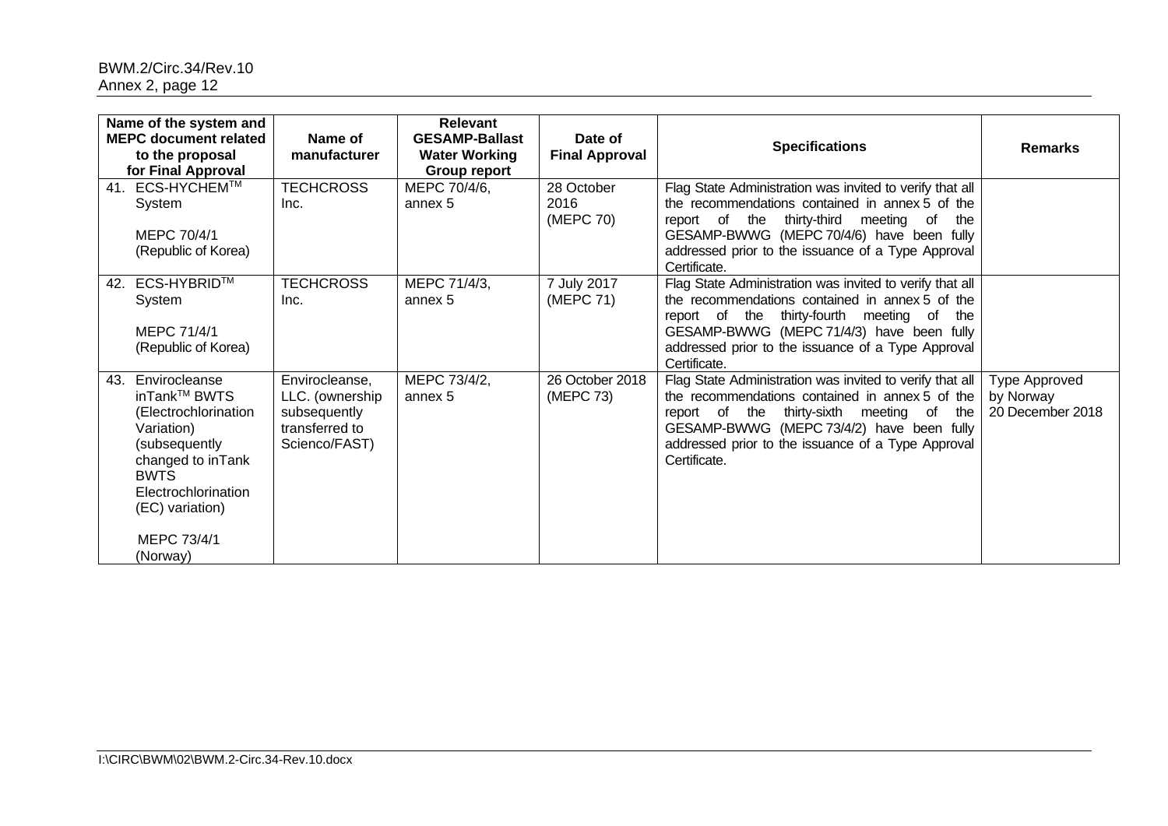| Name of the system and<br><b>MEPC document related</b><br>to the proposal<br>for Final Approval |                                                                                                                                                                                               | Name of<br>manufacturer                                                              | <b>Relevant</b><br><b>GESAMP-Ballast</b><br><b>Water Working</b><br>Group report | Date of<br><b>Final Approval</b> | <b>Specifications</b>                                                                                                                                                                                                                                                             | <b>Remarks</b>                                 |
|-------------------------------------------------------------------------------------------------|-----------------------------------------------------------------------------------------------------------------------------------------------------------------------------------------------|--------------------------------------------------------------------------------------|----------------------------------------------------------------------------------|----------------------------------|-----------------------------------------------------------------------------------------------------------------------------------------------------------------------------------------------------------------------------------------------------------------------------------|------------------------------------------------|
|                                                                                                 | 41. ECS-HYCHEM™<br>System<br>MEPC 70/4/1<br>(Republic of Korea)                                                                                                                               | <b>TECHCROSS</b><br>Inc.                                                             | MEPC 70/4/6,<br>annex 5                                                          | 28 October<br>2016<br>(MEPC 70)  | Flag State Administration was invited to verify that all<br>the recommendations contained in annex 5 of the<br>report of the thirty-third<br>meeting of<br>the<br>GESAMP-BWWG (MEPC 70/4/6) have been fully<br>addressed prior to the issuance of a Type Approval<br>Certificate. |                                                |
| 42.                                                                                             | <b>ECS-HYBRID™</b><br>System<br>MEPC 71/4/1<br>(Republic of Korea)                                                                                                                            | <b>TECHCROSS</b><br>Inc.                                                             | MEPC 71/4/3,<br>annex 5                                                          | 7 July 2017<br>(MEPC 71)         | Flag State Administration was invited to verify that all<br>the recommendations contained in annex 5 of the<br>report of the thirty-fourth meeting of<br>the<br>GESAMP-BWWG (MEPC 71/4/3) have been fully<br>addressed prior to the issuance of a Type Approval<br>Certificate.   |                                                |
| 43.                                                                                             | Envirocleanse<br>inTank™ BWTS<br>(Electrochlorination<br>Variation)<br>(subsequently<br>changed to inTank<br><b>BWTS</b><br>Electrochlorination<br>(EC) variation)<br>MEPC 73/4/1<br>(Norway) | Envirocleanse,<br>LLC. (ownership<br>subsequently<br>transferred to<br>Scienco/FAST) | MEPC 73/4/2,<br>annex 5                                                          | 26 October 2018<br>(MEPC 73)     | Flag State Administration was invited to verify that all<br>the recommendations contained in annex 5 of the<br>report of the thirty-sixth meeting of<br>the<br>GESAMP-BWWG (MEPC 73/4/2) have been fully<br>addressed prior to the issuance of a Type Approval<br>Certificate.    | Type Approved<br>by Norway<br>20 December 2018 |